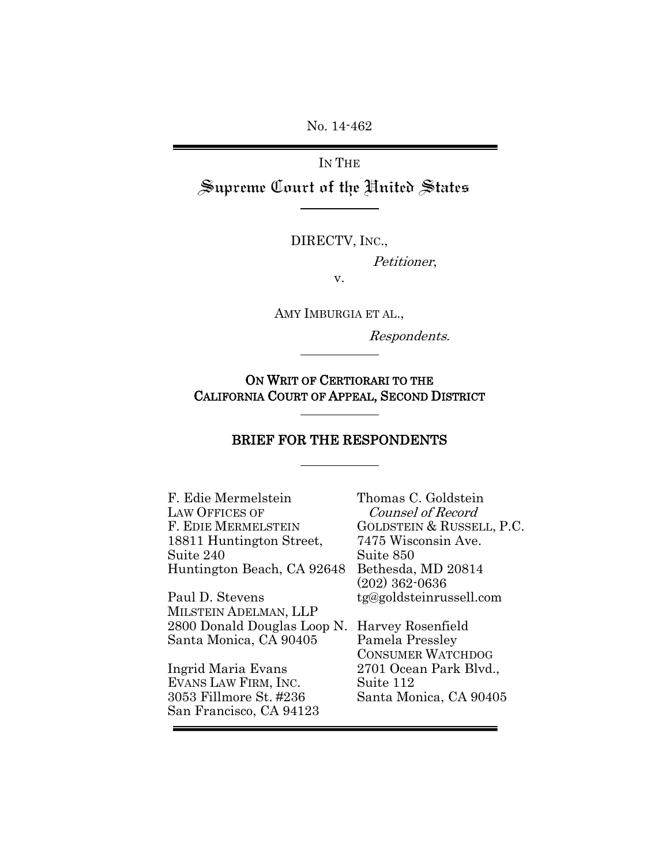No. 14-462

# IN THE Supreme Court of the United States

DIRECTV, INC.,

Petitioner,

v.

AMY IMBURGIA ET AL.,

Respondents.

ON WRIT OF CERTIORARI TO THE CALIFORNIA COURT OF APPEAL, SECOND DISTRICT

## BRIEF FOR THE RESPONDENTS

| F. Edie Mermelstein         | Thomas C. Goldstein       |
|-----------------------------|---------------------------|
| <b>LAW OFFICES OF</b>       | Counsel of Record         |
| F. EDIE MERMELSTEIN         | GOLDSTEIN & RUSSELL, P.C. |
| 18811 Huntington Street,    | 7475 Wisconsin Ave.       |
| Suite 240                   | Suite 850                 |
| Huntington Beach, CA 92648  | Bethesda, MD 20814        |
|                             | $(202)$ 362-0636          |
| Paul D. Stevens             | tg@goldsteinrussell.com   |
| MILSTEIN ADELMAN, LLP       |                           |
| 2800 Donald Douglas Loop N. | Harvey Rosenfield         |
| Santa Monica, CA 90405      | Pamela Pressley           |
|                             | <b>CONSUMER WATCHDOG</b>  |
| Ingrid Maria Evans          | 2701 Ocean Park Blvd.,    |
| EVANS LAW FIRM, INC.        | Suite 112                 |
| 3053 Fillmore St. #236      | Santa Monica, CA 90405    |
| San Francisco, CA 94123     |                           |
|                             |                           |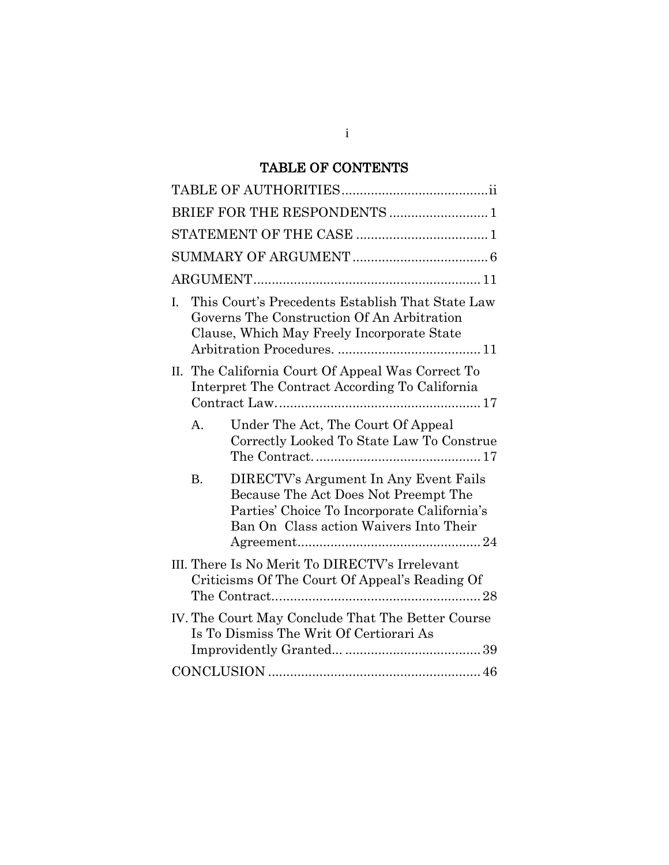## TABLE OF CONTENTS

| This Court's Precedents Establish That State Law<br>L<br>Governs The Construction Of An Arbitration<br>Clause, Which May Freely Incorporate State                                   |
|-------------------------------------------------------------------------------------------------------------------------------------------------------------------------------------|
| II. The California Court Of Appeal Was Correct To<br>Interpret The Contract According To California                                                                                 |
| Under The Act, The Court Of Appeal<br>A <sub>1</sub><br>Correctly Looked To State Law To Construe                                                                                   |
| DIRECTV's Argument In Any Event Fails<br><b>B.</b><br>Because The Act Does Not Preempt The<br>Parties' Choice To Incorporate California's<br>Ban On Class action Waivers Into Their |
| III. There Is No Merit To DIRECTV's Irrelevant<br>Criticisms Of The Court Of Appeal's Reading Of                                                                                    |
| IV. The Court May Conclude That The Better Course<br>Is To Dismiss The Writ Of Certiorari As                                                                                        |
|                                                                                                                                                                                     |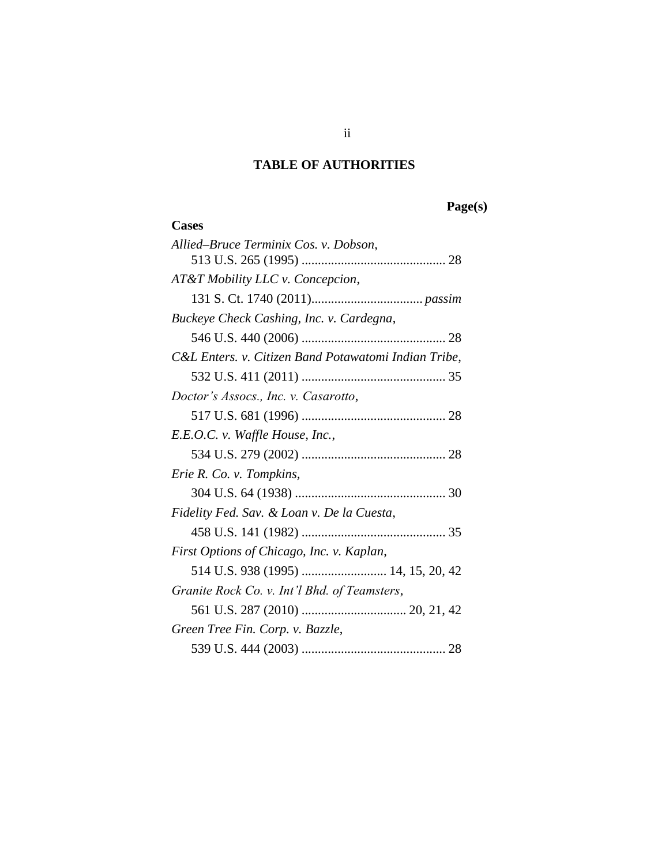## **TABLE OF AUTHORITIES**

## **Page(s)**

| <b>Cases</b>                                         |
|------------------------------------------------------|
| Allied-Bruce Terminix Cos. v. Dobson,                |
|                                                      |
| AT&T Mobility LLC v. Concepcion,                     |
|                                                      |
| Buckeye Check Cashing, Inc. v. Cardegna,             |
|                                                      |
| C&L Enters. v. Citizen Band Potawatomi Indian Tribe, |
|                                                      |
| Doctor's Assocs., Inc. v. Casarotto,                 |
|                                                      |
| E.E.O.C. v. Waffle House, Inc.,                      |
|                                                      |
| Erie R. Co. v. Tompkins,                             |
|                                                      |
| Fidelity Fed. Sav. & Loan v. De la Cuesta,           |
|                                                      |
| First Options of Chicago, Inc. v. Kaplan,            |
| 514 U.S. 938 (1995)  14, 15, 20, 42                  |
| Granite Rock Co. v. Int'l Bhd. of Teamsters,         |
|                                                      |
| Green Tree Fin. Corp. v. Bazzle,                     |
|                                                      |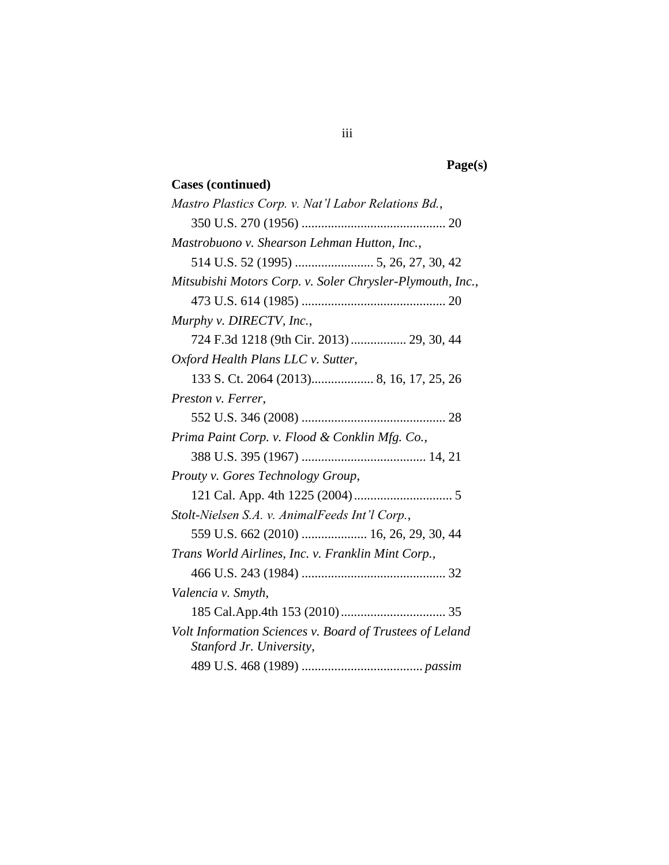## **Page(s)**

## **Cases (continued)**

| Mastro Plastics Corp. v. Nat'l Labor Relations Bd.,       |
|-----------------------------------------------------------|
|                                                           |
| Mastrobuono v. Shearson Lehman Hutton, Inc.,              |
|                                                           |
| Mitsubishi Motors Corp. v. Soler Chrysler-Plymouth, Inc., |
|                                                           |
| Murphy v. DIRECTV, Inc.,                                  |
| 724 F.3d 1218 (9th Cir. 2013)  29, 30, 44                 |
| Oxford Health Plans LLC v. Sutter,                        |
|                                                           |
| Preston v. Ferrer,                                        |
|                                                           |
| Prima Paint Corp. v. Flood & Conklin Mfg. Co.,            |
|                                                           |
| Prouty v. Gores Technology Group,                         |
|                                                           |
| Stolt-Nielsen S.A. v. AnimalFeeds Int'l Corp.,            |
| 559 U.S. 662 (2010)  16, 26, 29, 30, 44                   |
| Trans World Airlines, Inc. v. Franklin Mint Corp.,        |
|                                                           |
| Valencia v. Smyth,                                        |
|                                                           |
| Volt Information Sciences v. Board of Trustees of Leland  |
| Stanford Jr. University,                                  |
|                                                           |

## iii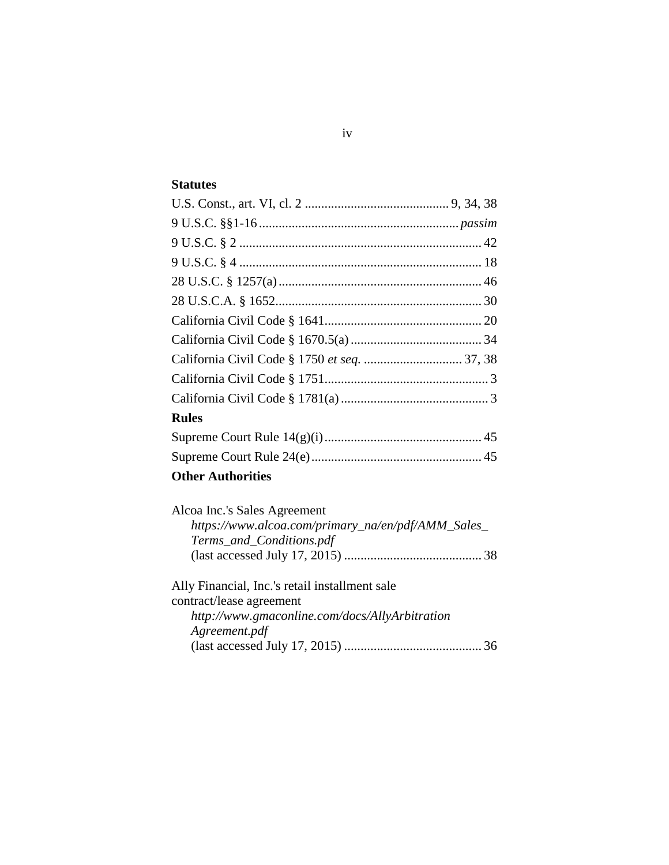## **Statutes**

| <b>Rules</b>             |  |
|--------------------------|--|
|                          |  |
|                          |  |
| <b>Other Authorities</b> |  |

| Alcoa Inc.'s Sales Agreement                                                                                                 |  |
|------------------------------------------------------------------------------------------------------------------------------|--|
| https://www.alcoa.com/primary_na/en/pdf/AMM_Sales_                                                                           |  |
| Terms_and_Conditions.pdf                                                                                                     |  |
|                                                                                                                              |  |
| Ally Financial, Inc.'s retail installment sale<br>contract/lease agreement<br>http://www.gmaconline.com/docs/AllyArbitration |  |
| Agreement.pdf                                                                                                                |  |
|                                                                                                                              |  |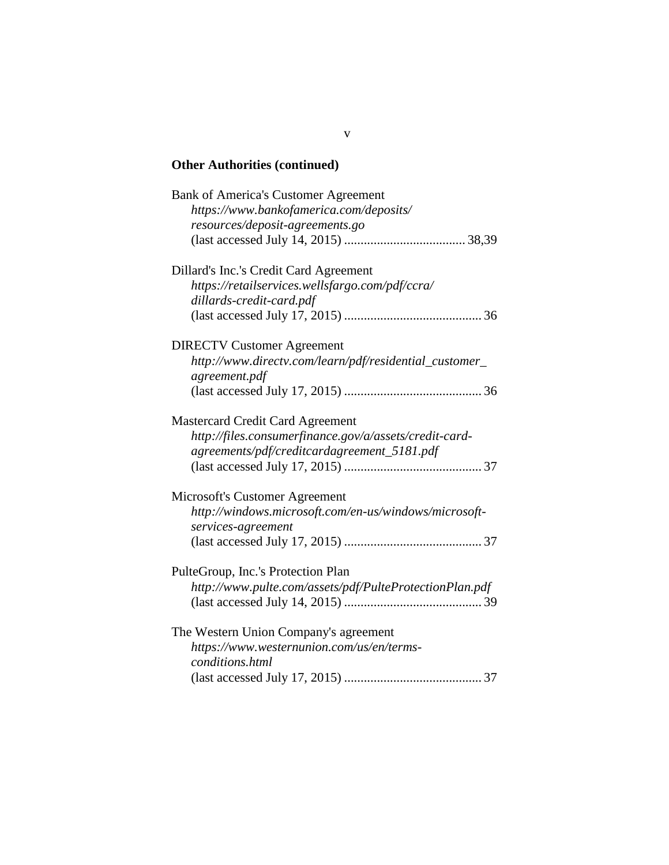## **Other Authorities (continued)**

| <b>Bank of America's Customer Agreement</b>                             |
|-------------------------------------------------------------------------|
| https://www.bankofamerica.com/deposits/                                 |
| resources/deposit-agreements.go                                         |
|                                                                         |
| Dillard's Inc.'s Credit Card Agreement                                  |
| https://retailservices.wellsfargo.com/pdf/ccra/                         |
| dillards-credit-card.pdf                                                |
|                                                                         |
| <b>DIRECTV Customer Agreement</b>                                       |
| http://www.directv.com/learn/pdf/residential_customer_<br>agreement.pdf |
|                                                                         |
| <b>Mastercard Credit Card Agreement</b>                                 |
| http://files.consumerfinance.gov/a/assets/credit-card-                  |
| agreements/pdf/creditcardagreement_5181.pdf                             |
|                                                                         |
| Microsoft's Customer Agreement                                          |
| http://windows.microsoft.com/en-us/windows/microsoft-                   |
| services-agreement                                                      |
|                                                                         |
| PulteGroup, Inc.'s Protection Plan                                      |
| http://www.pulte.com/assets/pdf/PulteProtectionPlan.pdf                 |
|                                                                         |
| The Western Union Company's agreement                                   |
| https://www.westernunion.com/us/en/terms-                               |
| conditions.html                                                         |
|                                                                         |

v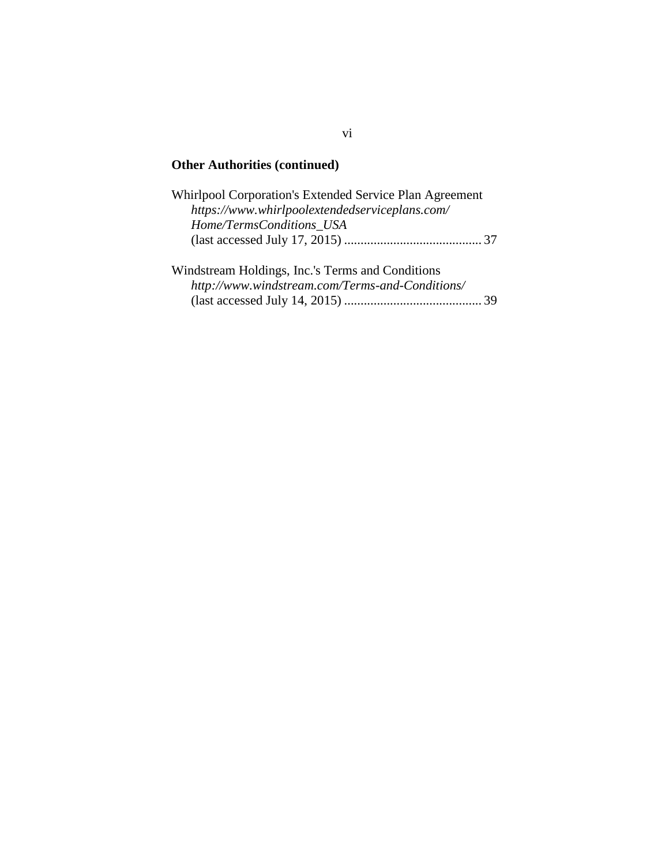## **Other Authorities (continued)**

| Whirlpool Corporation's Extended Service Plan Agreement                                             |  |
|-----------------------------------------------------------------------------------------------------|--|
| https://www.whirlpoolextendedserviceplans.com/                                                      |  |
| Home/TermsConditions_USA                                                                            |  |
|                                                                                                     |  |
| Windstream Holdings, Inc.'s Terms and Conditions<br>http://www.windstream.com/Terms-and-Conditions/ |  |
|                                                                                                     |  |

#### vi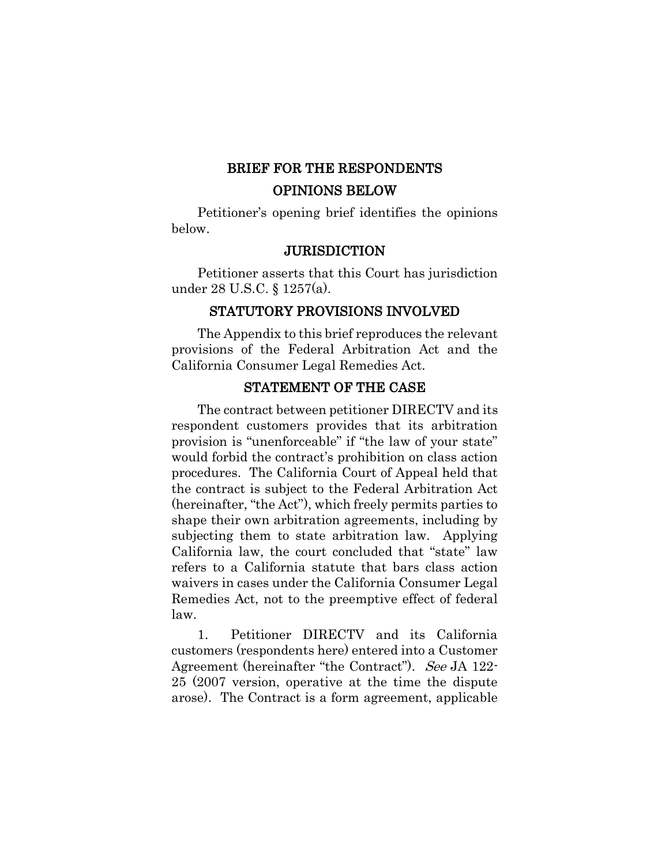## BRIEF FOR THE RESPONDENTS OPINIONS BELOW

Petitioner's opening brief identifies the opinions below.

#### **JURISDICTION**

Petitioner asserts that this Court has jurisdiction under 28 U.S.C. § 1257(a).

#### STATUTORY PROVISIONS INVOLVED

The Appendix to this brief reproduces the relevant provisions of the Federal Arbitration Act and the California Consumer Legal Remedies Act.

#### STATEMENT OF THE CASE

The contract between petitioner DIRECTV and its respondent customers provides that its arbitration provision is "unenforceable" if "the law of your state" would forbid the contract's prohibition on class action procedures. The California Court of Appeal held that the contract is subject to the Federal Arbitration Act (hereinafter, "the Act"), which freely permits parties to shape their own arbitration agreements, including by subjecting them to state arbitration law. Applying California law, the court concluded that "state" law refers to a California statute that bars class action waivers in cases under the California Consumer Legal Remedies Act, not to the preemptive effect of federal law.

1. Petitioner DIRECTV and its California customers (respondents here) entered into a Customer Agreement (hereinafter "the Contract"). See JA 122-25 (2007 version, operative at the time the dispute arose). The Contract is a form agreement, applicable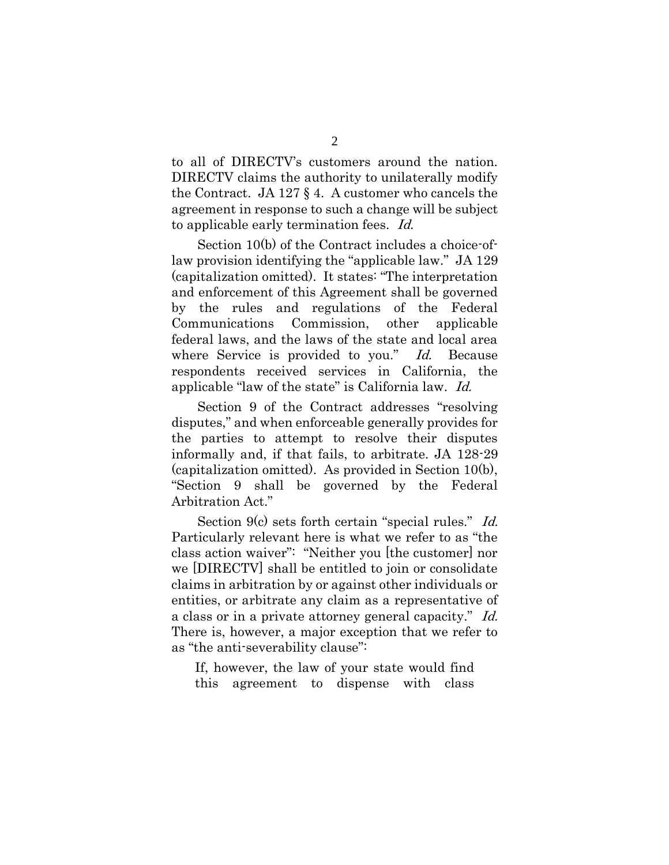to all of DIRECTV's customers around the nation. DIRECTV claims the authority to unilaterally modify the Contract. JA 127 § 4. A customer who cancels the agreement in response to such a change will be subject to applicable early termination fees. Id.

Section 10(b) of the Contract includes a choice-oflaw provision identifying the "applicable law." JA 129 (capitalization omitted). It states: "The interpretation and enforcement of this Agreement shall be governed by the rules and regulations of the Federal Communications Commission, other applicable federal laws, and the laws of the state and local area where Service is provided to you." Id. Because respondents received services in California, the applicable "law of the state" is California law. Id.

Section 9 of the Contract addresses "resolving disputes," and when enforceable generally provides for the parties to attempt to resolve their disputes informally and, if that fails, to arbitrate. JA 128-29 (capitalization omitted). As provided in Section 10(b), "Section 9 shall be governed by the Federal Arbitration Act."

Section 9(c) sets forth certain "special rules." Id. Particularly relevant here is what we refer to as "the class action waiver": "Neither you [the customer] nor we [DIRECTV] shall be entitled to join or consolidate claims in arbitration by or against other individuals or entities, or arbitrate any claim as a representative of a class or in a private attorney general capacity." Id. There is, however, a major exception that we refer to as "the anti-severability clause":

If, however, the law of your state would find this agreement to dispense with class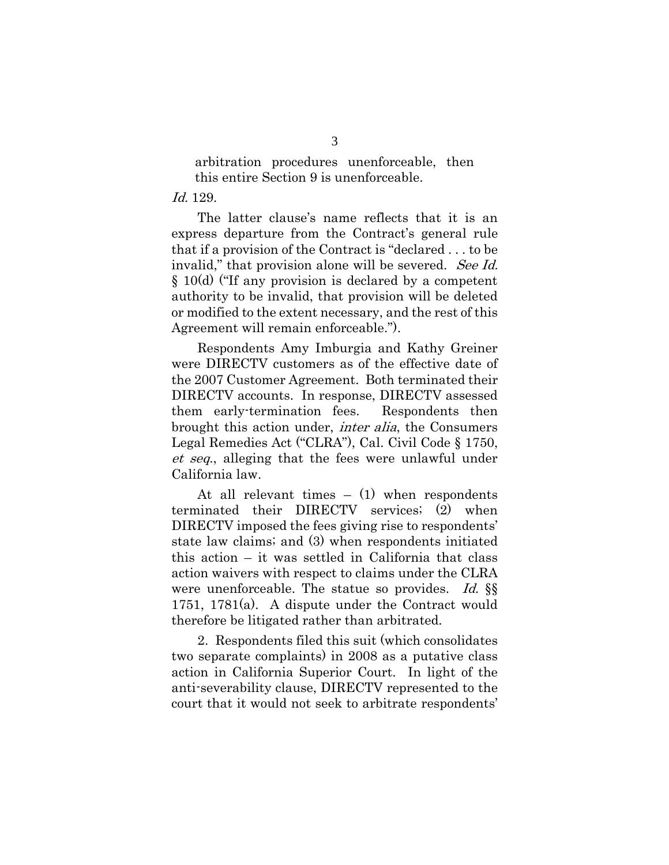arbitration procedures unenforceable, then this entire Section 9 is unenforceable.

#### Id. 129.

The latter clause's name reflects that it is an express departure from the Contract's general rule that if a provision of the Contract is "declared . . . to be invalid," that provision alone will be severed. See Id. § 10(d) ("If any provision is declared by a competent authority to be invalid, that provision will be deleted or modified to the extent necessary, and the rest of this Agreement will remain enforceable.").

Respondents Amy Imburgia and Kathy Greiner were DIRECTV customers as of the effective date of the 2007 Customer Agreement. Both terminated their DIRECTV accounts. In response, DIRECTV assessed them early-termination fees. Respondents then brought this action under, *inter alia*, the Consumers Legal Remedies Act ("CLRA"), Cal. Civil Code § 1750, et seq., alleging that the fees were unlawful under California law.

At all relevant times  $-$  (1) when respondents terminated their DIRECTV services; (2) when DIRECTV imposed the fees giving rise to respondents' state law claims; and (3) when respondents initiated this action – it was settled in California that class action waivers with respect to claims under the CLRA were unenforceable. The statue so provides. Id. §§ 1751, 1781(a). A dispute under the Contract would therefore be litigated rather than arbitrated.

2. Respondents filed this suit (which consolidates two separate complaints) in 2008 as a putative class action in California Superior Court. In light of the anti-severability clause, DIRECTV represented to the court that it would not seek to arbitrate respondents'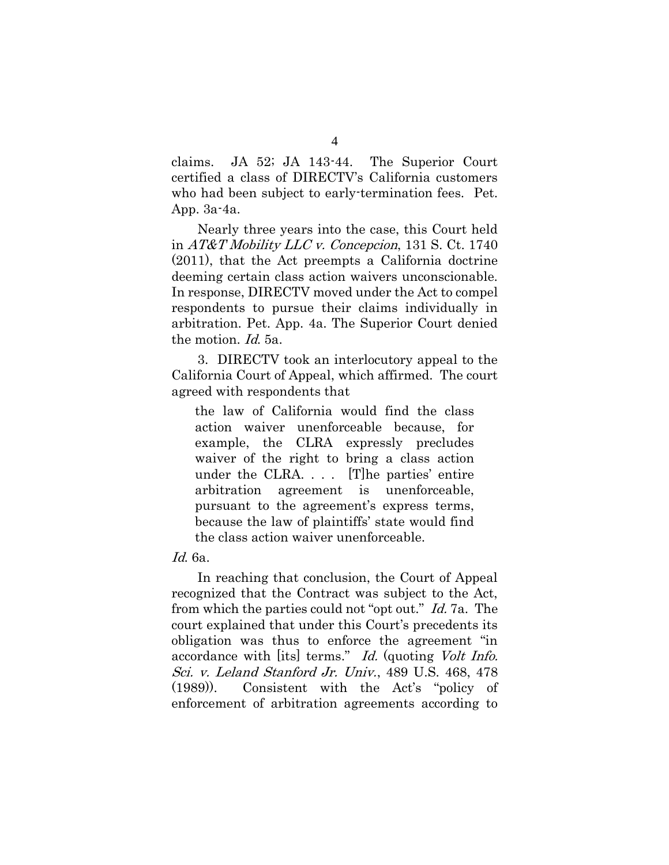claims. JA 52; JA 143-44. The Superior Court certified a class of DIRECTV's California customers who had been subject to early-termination fees. Pet. App. 3a-4a.

Nearly three years into the case, this Court held in  $AT\&T$  Mobility LLC v. Concepcion, 131 S. Ct. 1740 (2011), that the Act preempts a California doctrine deeming certain class action waivers unconscionable. In response, DIRECTV moved under the Act to compel respondents to pursue their claims individually in arbitration. Pet. App. 4a. The Superior Court denied the motion. Id. 5a.

3. DIRECTV took an interlocutory appeal to the California Court of Appeal, which affirmed. The court agreed with respondents that

the law of California would find the class action waiver unenforceable because, for example, the CLRA expressly precludes waiver of the right to bring a class action under the CLRA. . . . [T]he parties' entire arbitration agreement is unenforceable, pursuant to the agreement's express terms, because the law of plaintiffs' state would find the class action waiver unenforceable.

Id. 6a.

In reaching that conclusion, the Court of Appeal recognized that the Contract was subject to the Act, from which the parties could not "opt out." Id. 7a. The court explained that under this Court's precedents its obligation was thus to enforce the agreement "in accordance with [its] terms." Id. (quoting Volt Info. Sci. v. Leland Stanford Jr. Univ., 489 U.S. 468, 478 (1989)). Consistent with the Act's "policy of enforcement of arbitration agreements according to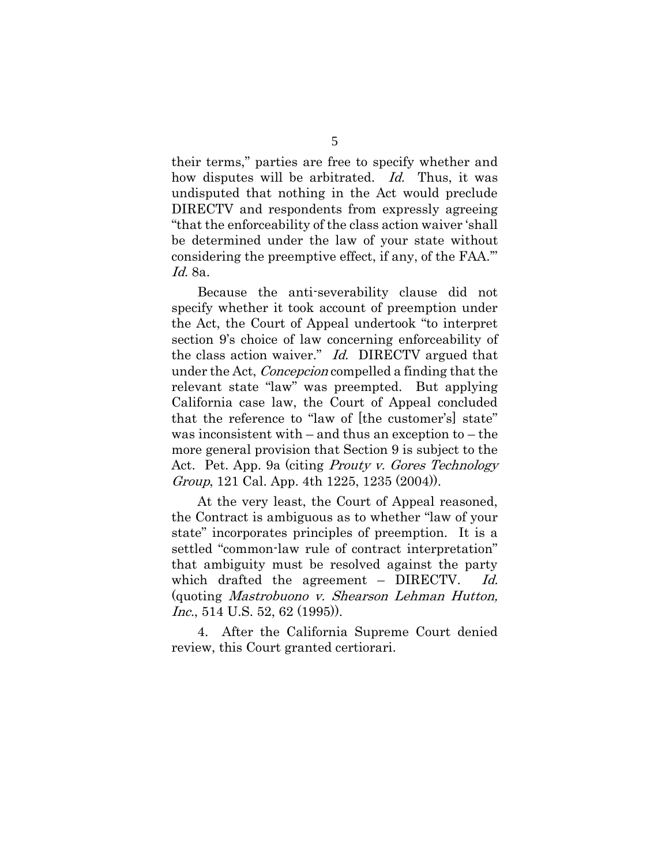their terms," parties are free to specify whether and how disputes will be arbitrated. Id. Thus, it was undisputed that nothing in the Act would preclude DIRECTV and respondents from expressly agreeing "that the enforceability of the class action waiver 'shall be determined under the law of your state without considering the preemptive effect, if any, of the FAA.'" Id. 8a.

Because the anti-severability clause did not specify whether it took account of preemption under the Act, the Court of Appeal undertook "to interpret section 9's choice of law concerning enforceability of the class action waiver." Id. DIRECTV argued that under the Act, Concepcion compelled a finding that the relevant state "law" was preempted. But applying California case law, the Court of Appeal concluded that the reference to "law of [the customer's] state" was inconsistent with – and thus an exception to – the more general provision that Section 9 is subject to the Act. Pet. App. 9a (citing *Prouty v. Gores Technology* Group, 121 Cal. App. 4th 1225, 1235 (2004)).

At the very least, the Court of Appeal reasoned, the Contract is ambiguous as to whether "law of your state" incorporates principles of preemption. It is a settled "common-law rule of contract interpretation" that ambiguity must be resolved against the party which drafted the agreement – DIRECTV. Id. (quoting Mastrobuono v. Shearson Lehman Hutton, Inc., 514 U.S. 52, 62 (1995)).

4. After the California Supreme Court denied review, this Court granted certiorari.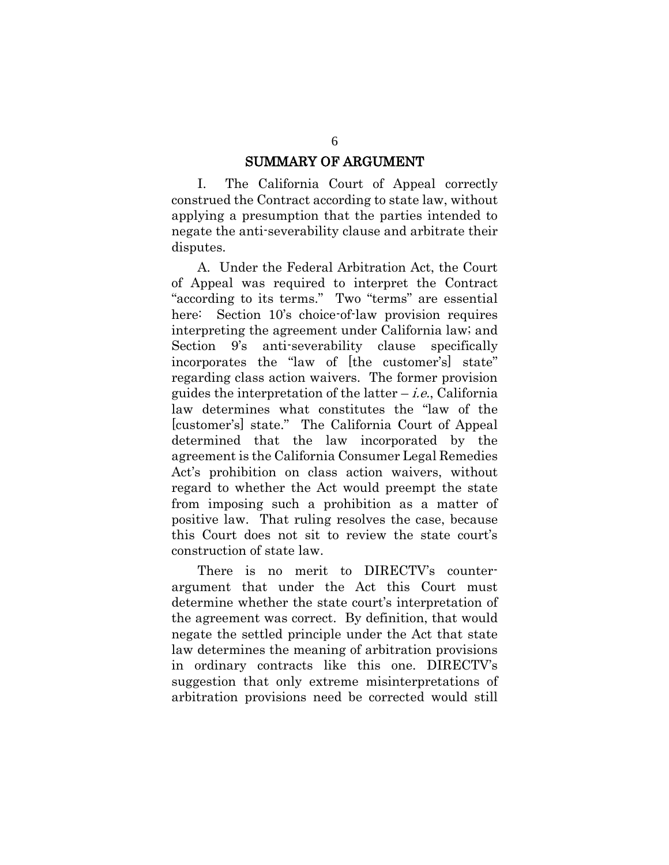#### SUMMARY OF ARGUMENT

I. The California Court of Appeal correctly construed the Contract according to state law, without applying a presumption that the parties intended to negate the anti-severability clause and arbitrate their disputes.

A. Under the Federal Arbitration Act, the Court of Appeal was required to interpret the Contract "according to its terms." Two "terms" are essential here: Section 10's choice-of-law provision requires interpreting the agreement under California law; and Section 9's anti-severability clause specifically incorporates the "law of [the customer's] state" regarding class action waivers. The former provision guides the interpretation of the latter  $-i.e.,$  California law determines what constitutes the "law of the [customer's] state." The California Court of Appeal determined that the law incorporated by the agreement is the California Consumer Legal Remedies Act's prohibition on class action waivers, without regard to whether the Act would preempt the state from imposing such a prohibition as a matter of positive law. That ruling resolves the case, because this Court does not sit to review the state court's construction of state law.

There is no merit to DIRECTV's counterargument that under the Act this Court must determine whether the state court's interpretation of the agreement was correct. By definition, that would negate the settled principle under the Act that state law determines the meaning of arbitration provisions in ordinary contracts like this one. DIRECTV's suggestion that only extreme misinterpretations of arbitration provisions need be corrected would still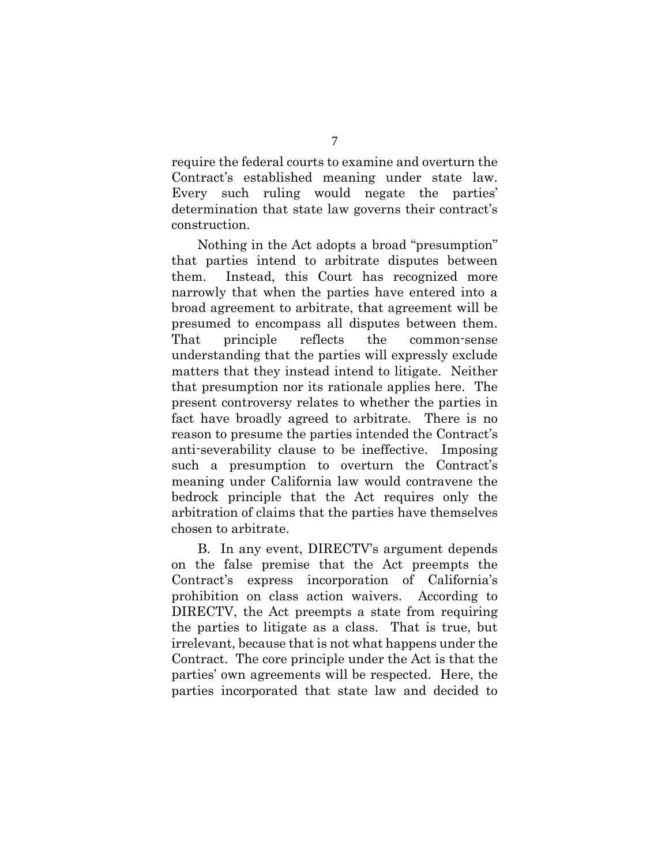require the federal courts to examine and overturn the Contract's established meaning under state law. Every such ruling would negate the parties' determination that state law governs their contract's construction.

Nothing in the Act adopts a broad "presumption" that parties intend to arbitrate disputes between them. Instead, this Court has recognized more narrowly that when the parties have entered into a broad agreement to arbitrate, that agreement will be presumed to encompass all disputes between them. That principle reflects the common-sense understanding that the parties will expressly exclude matters that they instead intend to litigate. Neither that presumption nor its rationale applies here. The present controversy relates to whether the parties in fact have broadly agreed to arbitrate. There is no reason to presume the parties intended the Contract's anti-severability clause to be ineffective. Imposing such a presumption to overturn the Contract's meaning under California law would contravene the bedrock principle that the Act requires only the arbitration of claims that the parties have themselves chosen to arbitrate.

B. In any event, DIRECTV's argument depends on the false premise that the Act preempts the Contract's express incorporation of California's prohibition on class action waivers. According to DIRECTV, the Act preempts a state from requiring the parties to litigate as a class. That is true, but irrelevant, because that is not what happens under the Contract. The core principle under the Act is that the parties' own agreements will be respected. Here, the parties incorporated that state law and decided to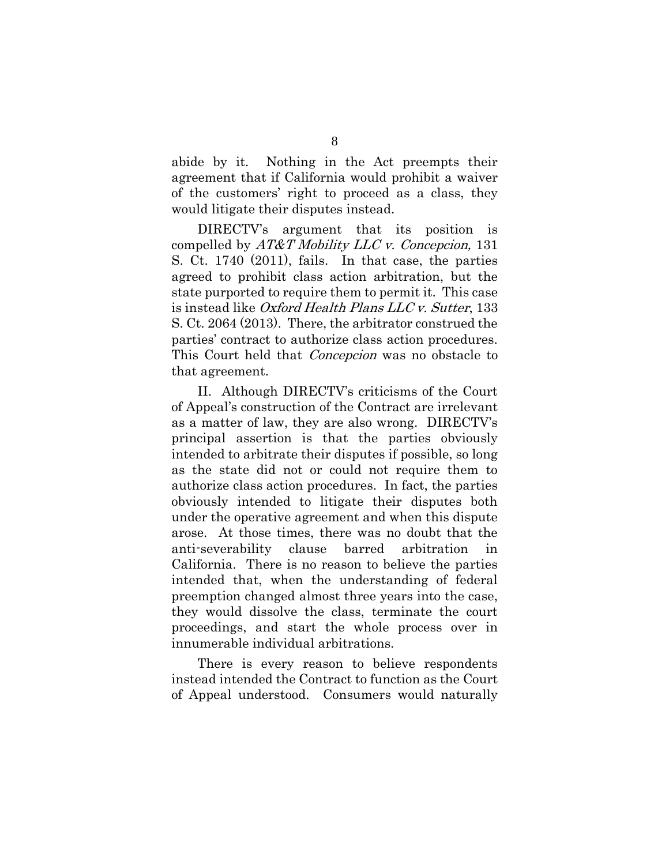abide by it. Nothing in the Act preempts their agreement that if California would prohibit a waiver of the customers' right to proceed as a class, they would litigate their disputes instead.

DIRECTV's argument that its position is compelled by  $AT\&T$  Mobility LLC v. Concepcion, 131 S. Ct. 1740 (2011), fails. In that case, the parties agreed to prohibit class action arbitration, but the state purported to require them to permit it. This case is instead like Oxford Health Plans LLC v. Sutter, 133 S. Ct. 2064 (2013). There, the arbitrator construed the parties' contract to authorize class action procedures. This Court held that *Concepcion* was no obstacle to that agreement.

II. Although DIRECTV's criticisms of the Court of Appeal's construction of the Contract are irrelevant as a matter of law, they are also wrong. DIRECTV's principal assertion is that the parties obviously intended to arbitrate their disputes if possible, so long as the state did not or could not require them to authorize class action procedures. In fact, the parties obviously intended to litigate their disputes both under the operative agreement and when this dispute arose. At those times, there was no doubt that the anti-severability clause barred arbitration in California. There is no reason to believe the parties intended that, when the understanding of federal preemption changed almost three years into the case, they would dissolve the class, terminate the court proceedings, and start the whole process over in innumerable individual arbitrations.

There is every reason to believe respondents instead intended the Contract to function as the Court of Appeal understood. Consumers would naturally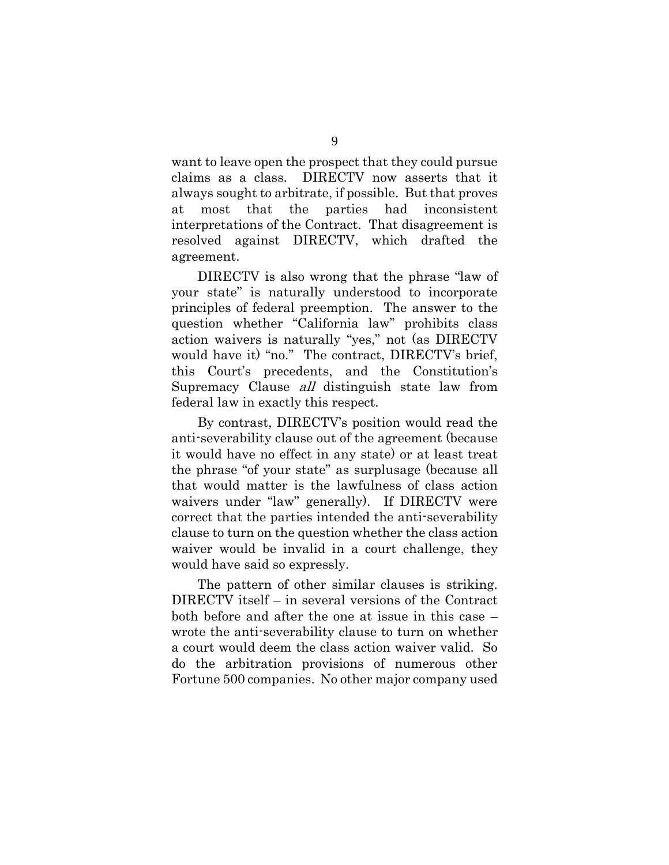want to leave open the prospect that they could pursue claims as a class. DIRECTV now asserts that it always sought to arbitrate, if possible. But that proves at most that the parties had inconsistent interpretations of the Contract. That disagreement is resolved against DIRECTV, which drafted the agreement.

DIRECTV is also wrong that the phrase "law of your state" is naturally understood to incorporate principles of federal preemption. The answer to the question whether "California law" prohibits class action waivers is naturally "yes," not (as DIRECTV would have it) "no." The contract, DIRECTV's brief, this Court's precedents, and the Constitution's Supremacy Clause all distinguish state law from federal law in exactly this respect.

By contrast, DIRECTV's position would read the anti-severability clause out of the agreement (because it would have no effect in any state) or at least treat the phrase "of your state" as surplusage (because all that would matter is the lawfulness of class action waivers under "law" generally). If DIRECTV were correct that the parties intended the anti-severability clause to turn on the question whether the class action waiver would be invalid in a court challenge, they would have said so expressly.

The pattern of other similar clauses is striking. DIRECTV itself – in several versions of the Contract both before and after the one at issue in this case – wrote the anti-severability clause to turn on whether a court would deem the class action waiver valid. So do the arbitration provisions of numerous other Fortune 500 companies. No other major company used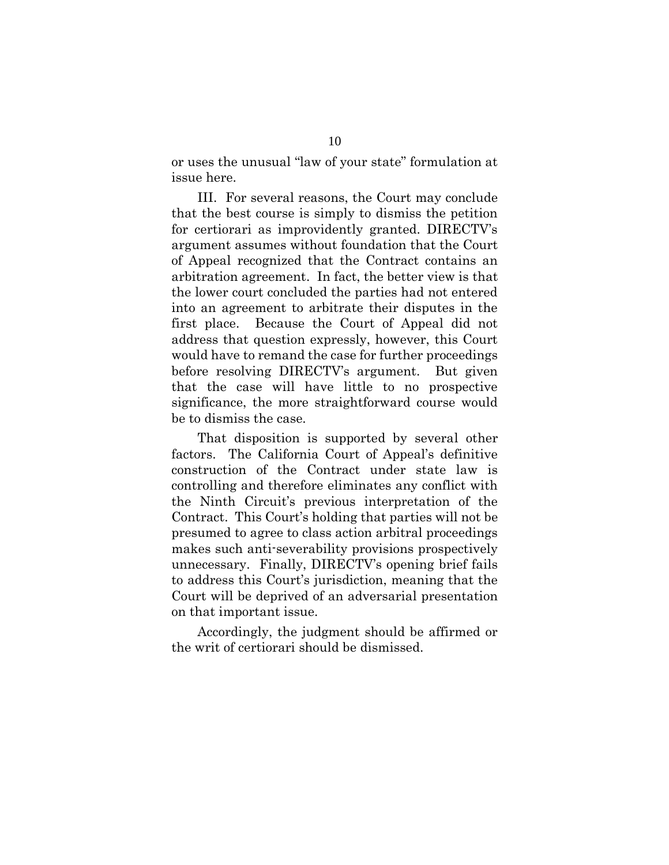or uses the unusual "law of your state" formulation at issue here.

III. For several reasons, the Court may conclude that the best course is simply to dismiss the petition for certiorari as improvidently granted. DIRECTV's argument assumes without foundation that the Court of Appeal recognized that the Contract contains an arbitration agreement. In fact, the better view is that the lower court concluded the parties had not entered into an agreement to arbitrate their disputes in the first place. Because the Court of Appeal did not address that question expressly, however, this Court would have to remand the case for further proceedings before resolving DIRECTV's argument. But given that the case will have little to no prospective significance, the more straightforward course would be to dismiss the case.

That disposition is supported by several other factors. The California Court of Appeal's definitive construction of the Contract under state law is controlling and therefore eliminates any conflict with the Ninth Circuit's previous interpretation of the Contract. This Court's holding that parties will not be presumed to agree to class action arbitral proceedings makes such anti-severability provisions prospectively unnecessary. Finally, DIRECTV's opening brief fails to address this Court's jurisdiction, meaning that the Court will be deprived of an adversarial presentation on that important issue.

Accordingly, the judgment should be affirmed or the writ of certiorari should be dismissed.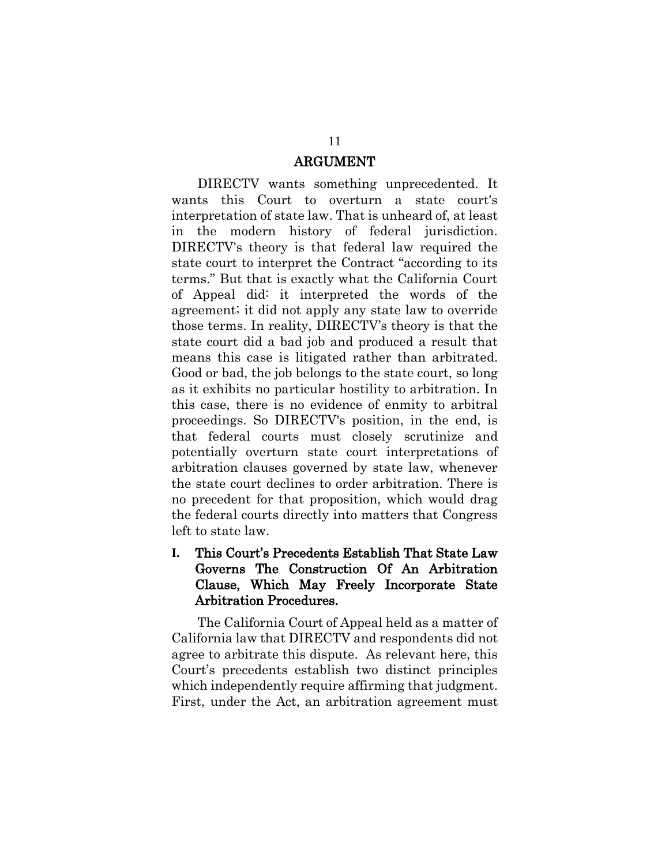#### ARGUMENT

DIRECTV wants something unprecedented. It wants this Court to overturn a state court's interpretation of state law. That is unheard of, at least in the modern history of federal jurisdiction. DIRECTV's theory is that federal law required the state court to interpret the Contract "according to its terms." But that is exactly what the California Court of Appeal did: it interpreted the words of the agreement; it did not apply any state law to override those terms. In reality, DIRECTV's theory is that the state court did a bad job and produced a result that means this case is litigated rather than arbitrated. Good or bad, the job belongs to the state court, so long as it exhibits no particular hostility to arbitration. In this case, there is no evidence of enmity to arbitral proceedings. So DIRECTV's position, in the end, is that federal courts must closely scrutinize and potentially overturn state court interpretations of arbitration clauses governed by state law, whenever the state court declines to order arbitration. There is no precedent for that proposition, which would drag the federal courts directly into matters that Congress left to state law.

**I.** This Court's Precedents Establish That State Law Governs The Construction Of An Arbitration Clause, Which May Freely Incorporate State Arbitration Procedures.

The California Court of Appeal held as a matter of California law that DIRECTV and respondents did not agree to arbitrate this dispute. As relevant here, this Court's precedents establish two distinct principles which independently require affirming that judgment. First, under the Act, an arbitration agreement must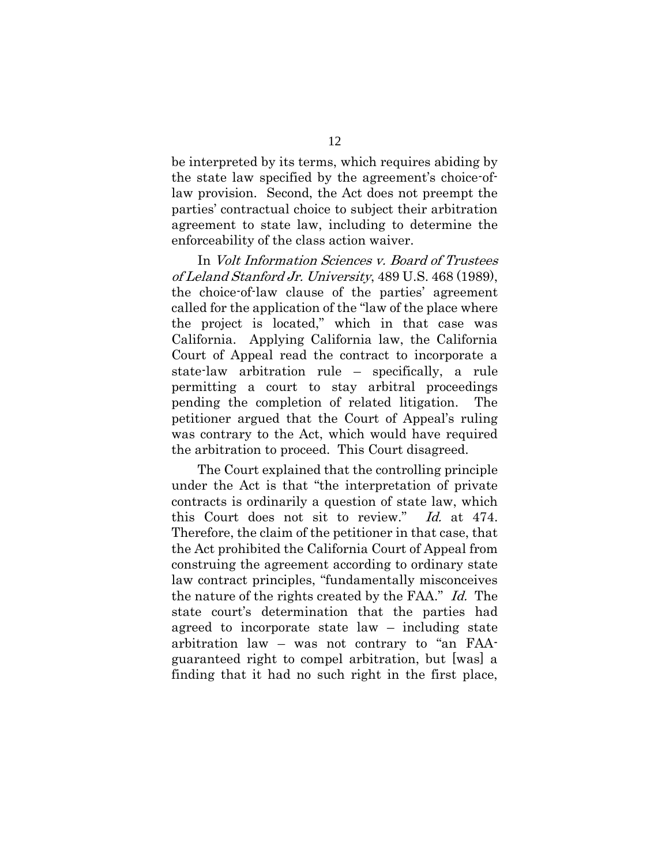be interpreted by its terms, which requires abiding by the state law specified by the agreement's choice-oflaw provision. Second, the Act does not preempt the parties' contractual choice to subject their arbitration agreement to state law, including to determine the enforceability of the class action waiver.

In Volt Information Sciences v. Board of Trustees of Leland Stanford Jr. University, 489 U.S. 468 (1989), the choice-of-law clause of the parties' agreement called for the application of the "law of the place where the project is located," which in that case was California. Applying California law, the California Court of Appeal read the contract to incorporate a state-law arbitration rule – specifically, a rule permitting a court to stay arbitral proceedings pending the completion of related litigation. The petitioner argued that the Court of Appeal's ruling was contrary to the Act, which would have required the arbitration to proceed. This Court disagreed.

The Court explained that the controlling principle under the Act is that "the interpretation of private contracts is ordinarily a question of state law, which this Court does not sit to review." Id. at 474. Therefore, the claim of the petitioner in that case, that the Act prohibited the California Court of Appeal from construing the agreement according to ordinary state law contract principles, "fundamentally misconceives the nature of the rights created by the FAA." Id. The state court's determination that the parties had agreed to incorporate state law – including state arbitration law – was not contrary to "an FAAguaranteed right to compel arbitration, but [was] a finding that it had no such right in the first place,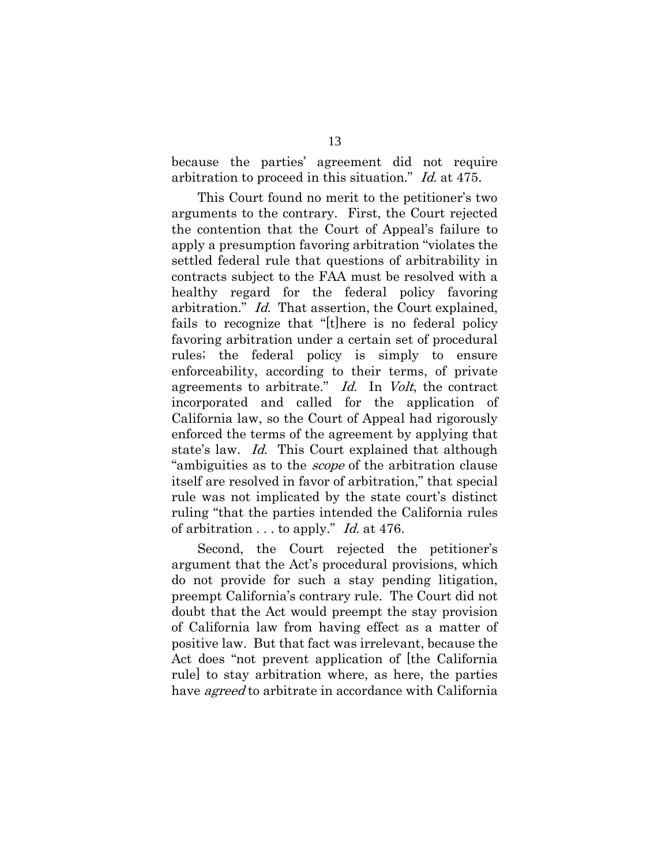because the parties' agreement did not require arbitration to proceed in this situation." Id. at 475.

This Court found no merit to the petitioner's two arguments to the contrary. First, the Court rejected the contention that the Court of Appeal's failure to apply a presumption favoring arbitration "violates the settled federal rule that questions of arbitrability in contracts subject to the FAA must be resolved with a healthy regard for the federal policy favoring arbitration." Id. That assertion, the Court explained, fails to recognize that "[t]here is no federal policy favoring arbitration under a certain set of procedural rules; the federal policy is simply to ensure enforceability, according to their terms, of private agreements to arbitrate." Id. In Volt, the contract incorporated and called for the application of California law, so the Court of Appeal had rigorously enforced the terms of the agreement by applying that state's law. Id. This Court explained that although "ambiguities as to the *scope* of the arbitration clause itself are resolved in favor of arbitration," that special rule was not implicated by the state court's distinct ruling "that the parties intended the California rules of arbitration  $\dots$  to apply." Id. at 476.

Second, the Court rejected the petitioner's argument that the Act's procedural provisions, which do not provide for such a stay pending litigation, preempt California's contrary rule. The Court did not doubt that the Act would preempt the stay provision of California law from having effect as a matter of positive law. But that fact was irrelevant, because the Act does "not prevent application of [the California rule] to stay arbitration where, as here, the parties have *agreed* to arbitrate in accordance with California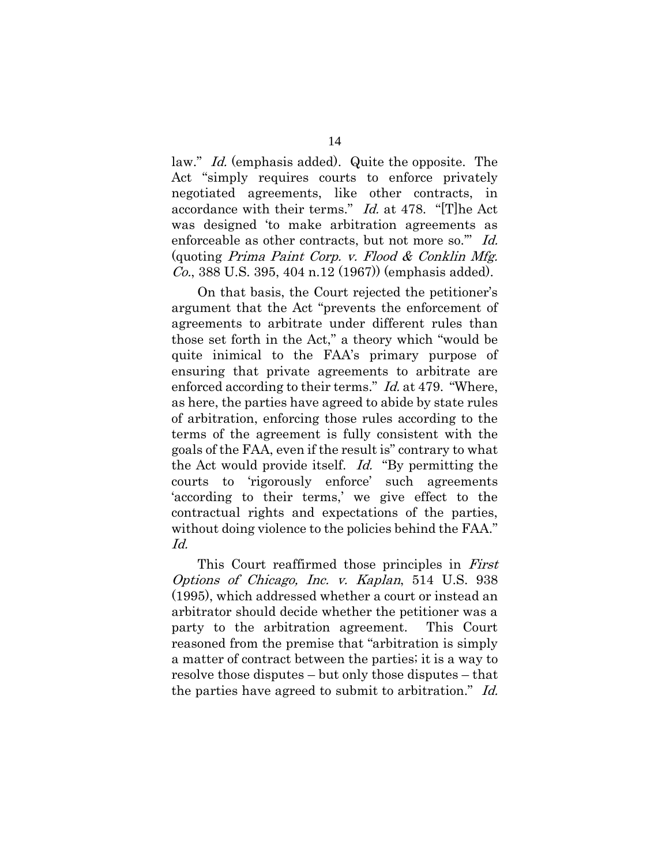law." *Id.* (emphasis added). Quite the opposite. The Act "simply requires courts to enforce privately negotiated agreements, like other contracts, in accordance with their terms." Id. at 478. "[T]he Act was designed 'to make arbitration agreements as enforceable as other contracts, but not more so." Id. (quoting Prima Paint Corp. v. Flood & Conklin Mfg.  $Co., 388 \text{ U.S. } 395, 404 \text{ n.} 12 \text{ (1967)}$  (emphasis added).

On that basis, the Court rejected the petitioner's argument that the Act "prevents the enforcement of agreements to arbitrate under different rules than those set forth in the Act," a theory which "would be quite inimical to the FAA's primary purpose of ensuring that private agreements to arbitrate are enforced according to their terms." *Id.* at 479. "Where, as here, the parties have agreed to abide by state rules of arbitration, enforcing those rules according to the terms of the agreement is fully consistent with the goals of the FAA, even if the result is" contrary to what the Act would provide itself. Id. "By permitting the courts to 'rigorously enforce' such agreements 'according to their terms,' we give effect to the contractual rights and expectations of the parties, without doing violence to the policies behind the FAA." Id.

This Court reaffirmed those principles in First Options of Chicago, Inc. v. Kaplan, 514 U.S. 938 (1995), which addressed whether a court or instead an arbitrator should decide whether the petitioner was a party to the arbitration agreement. This Court reasoned from the premise that "arbitration is simply a matter of contract between the parties; it is a way to resolve those disputes – but only those disputes – that the parties have agreed to submit to arbitration." Id.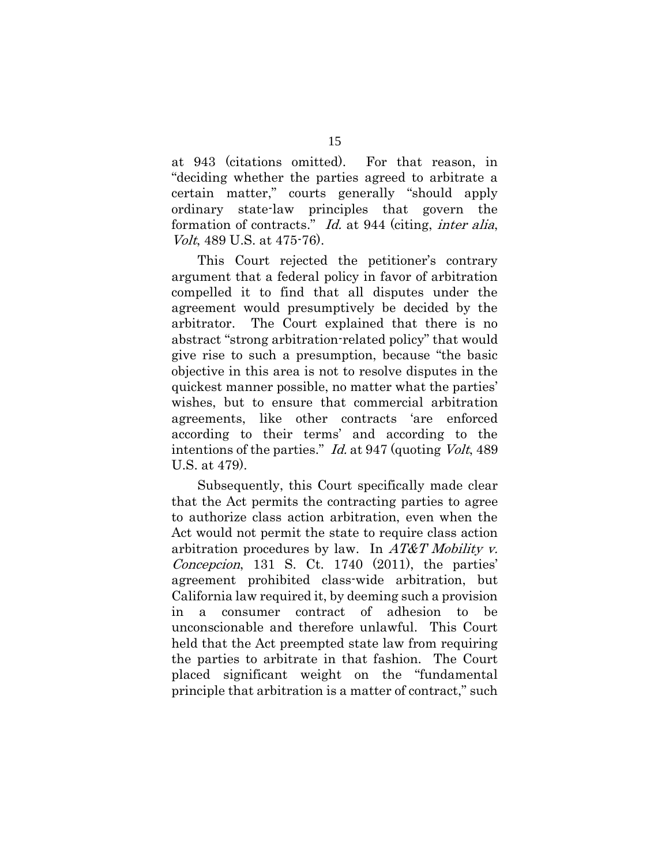at 943 (citations omitted). For that reason, in "deciding whether the parties agreed to arbitrate a certain matter," courts generally "should apply ordinary state-law principles that govern the formation of contracts." Id. at 944 (citing, inter alia, Volt, 489 U.S. at 475-76).

This Court rejected the petitioner's contrary argument that a federal policy in favor of arbitration compelled it to find that all disputes under the agreement would presumptively be decided by the arbitrator. The Court explained that there is no abstract "strong arbitration-related policy" that would give rise to such a presumption, because "the basic objective in this area is not to resolve disputes in the quickest manner possible, no matter what the parties' wishes, but to ensure that commercial arbitration agreements, like other contracts 'are enforced according to their terms' and according to the intentions of the parties." Id. at 947 (quoting Volt, 489 U.S. at 479).

Subsequently, this Court specifically made clear that the Act permits the contracting parties to agree to authorize class action arbitration, even when the Act would not permit the state to require class action arbitration procedures by law. In  $AT\&T$  Mobility v. Concepcion, 131 S. Ct. 1740 (2011), the parties' agreement prohibited class-wide arbitration, but California law required it, by deeming such a provision in a consumer contract of adhesion to be unconscionable and therefore unlawful. This Court held that the Act preempted state law from requiring the parties to arbitrate in that fashion. The Court placed significant weight on the "fundamental principle that arbitration is a matter of contract," such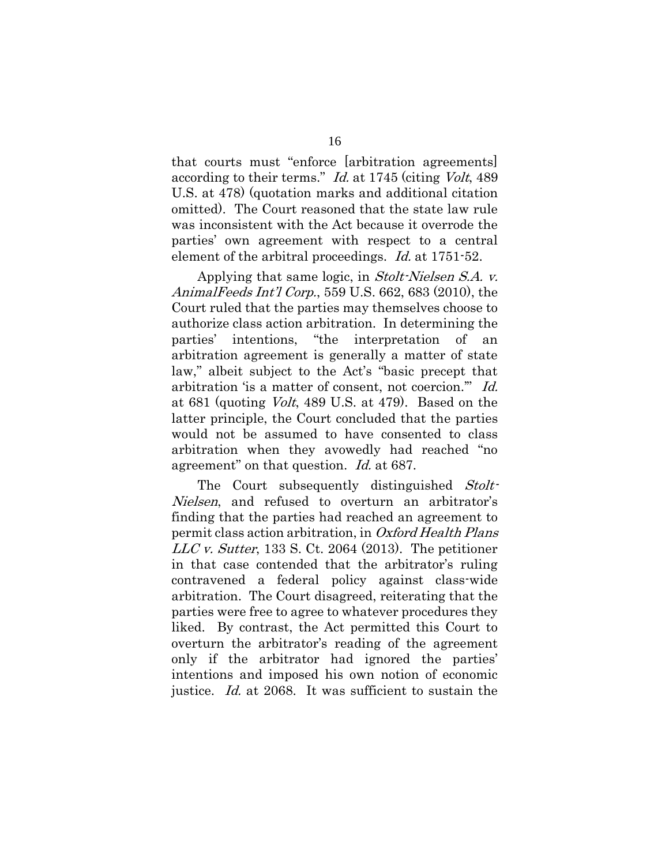that courts must "enforce [arbitration agreements] according to their terms." *Id.* at 1745 (citing *Volt*, 489) U.S. at 478) (quotation marks and additional citation omitted). The Court reasoned that the state law rule was inconsistent with the Act because it overrode the parties' own agreement with respect to a central element of the arbitral proceedings. *Id.* at 1751-52.

Applying that same logic, in Stolt-Nielsen S.A. v. AnimalFeeds Int'l Corp., 559 U.S. 662, 683 (2010), the Court ruled that the parties may themselves choose to authorize class action arbitration. In determining the parties' intentions, "the interpretation of an arbitration agreement is generally a matter of state law," albeit subject to the Act's "basic precept that arbitration 'is a matter of consent, not coercion.'" Id. at 681 (quoting Volt, 489 U.S. at 479). Based on the latter principle, the Court concluded that the parties would not be assumed to have consented to class arbitration when they avowedly had reached "no agreement" on that question. Id. at 687.

The Court subsequently distinguished Stolt-Nielsen, and refused to overturn an arbitrator's finding that the parties had reached an agreement to permit class action arbitration, in Oxford Health Plans  $LLC$  v. Sutter, 133 S. Ct. 2064 (2013). The petitioner in that case contended that the arbitrator's ruling contravened a federal policy against class-wide arbitration. The Court disagreed, reiterating that the parties were free to agree to whatever procedures they liked. By contrast, the Act permitted this Court to overturn the arbitrator's reading of the agreement only if the arbitrator had ignored the parties' intentions and imposed his own notion of economic justice. Id. at 2068. It was sufficient to sustain the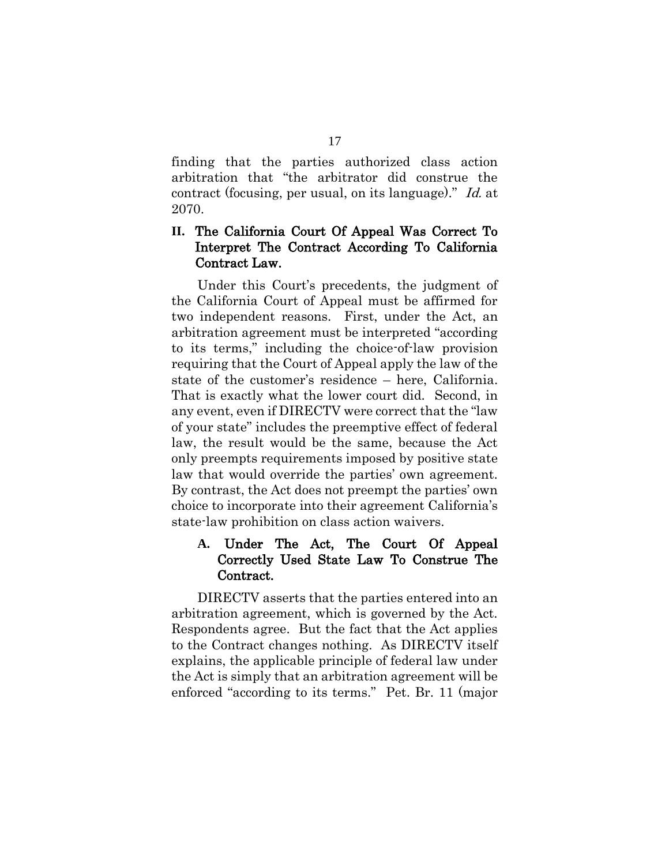finding that the parties authorized class action arbitration that "the arbitrator did construe the contract (focusing, per usual, on its language)." Id. at 2070.

### **II.** The California Court Of Appeal Was Correct To Interpret The Contract According To California Contract Law.

Under this Court's precedents, the judgment of the California Court of Appeal must be affirmed for two independent reasons. First, under the Act, an arbitration agreement must be interpreted "according to its terms," including the choice-of-law provision requiring that the Court of Appeal apply the law of the state of the customer's residence – here, California. That is exactly what the lower court did. Second, in any event, even if DIRECTV were correct that the "law of your state" includes the preemptive effect of federal law, the result would be the same, because the Act only preempts requirements imposed by positive state law that would override the parties' own agreement. By contrast, the Act does not preempt the parties' own choice to incorporate into their agreement California's state-law prohibition on class action waivers.

## **A.** Under The Act, The Court Of Appeal Correctly Used State Law To Construe The Contract.

DIRECTV asserts that the parties entered into an arbitration agreement, which is governed by the Act. Respondents agree. But the fact that the Act applies to the Contract changes nothing. As DIRECTV itself explains, the applicable principle of federal law under the Act is simply that an arbitration agreement will be enforced "according to its terms." Pet. Br. 11 (major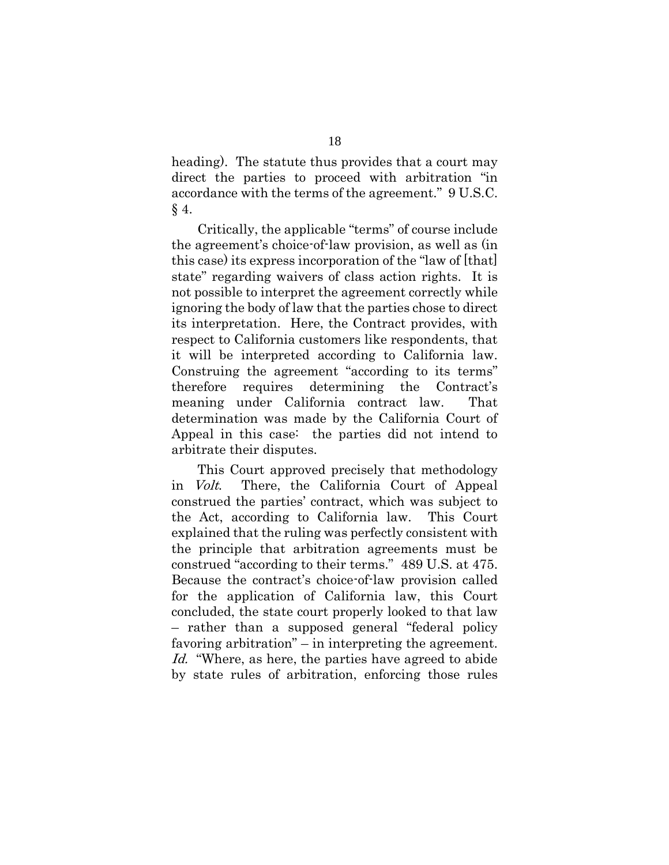heading). The statute thus provides that a court may direct the parties to proceed with arbitration "in accordance with the terms of the agreement." 9 U.S.C.  $§$  4.

Critically, the applicable "terms" of course include the agreement's choice-of-law provision, as well as (in this case) its express incorporation of the "law of [that] state" regarding waivers of class action rights. It is not possible to interpret the agreement correctly while ignoring the body of law that the parties chose to direct its interpretation. Here, the Contract provides, with respect to California customers like respondents, that it will be interpreted according to California law. Construing the agreement "according to its terms" therefore requires determining the Contract's meaning under California contract law. That determination was made by the California Court of Appeal in this case: the parties did not intend to arbitrate their disputes.

This Court approved precisely that methodology in Volt. There, the California Court of Appeal construed the parties' contract, which was subject to the Act, according to California law. This Court explained that the ruling was perfectly consistent with the principle that arbitration agreements must be construed "according to their terms." 489 U.S. at 475. Because the contract's choice-of-law provision called for the application of California law, this Court concluded, the state court properly looked to that law – rather than a supposed general "federal policy favoring arbitration" – in interpreting the agreement. Id. "Where, as here, the parties have agreed to abide by state rules of arbitration, enforcing those rules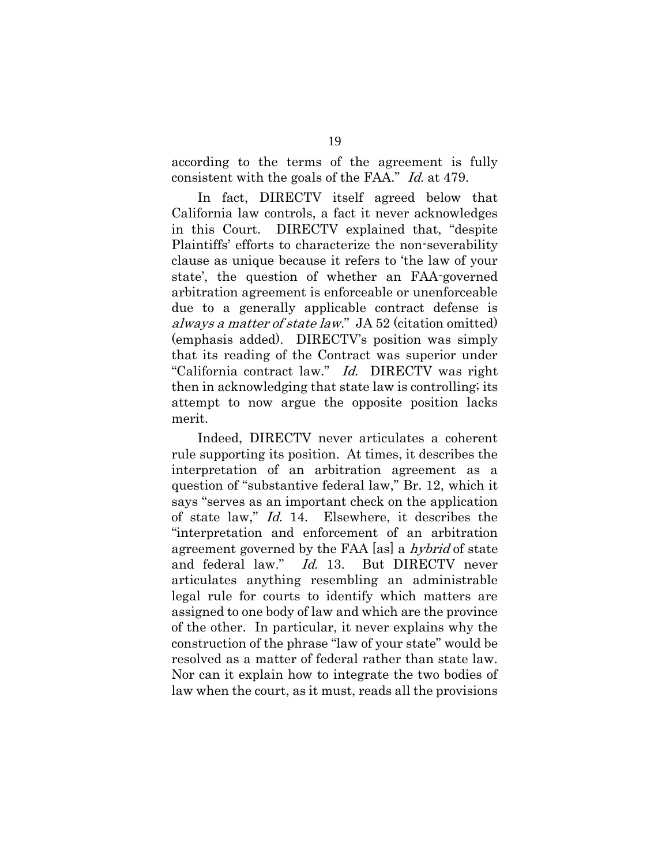according to the terms of the agreement is fully consistent with the goals of the FAA." Id. at 479.

In fact, DIRECTV itself agreed below that California law controls, a fact it never acknowledges in this Court. DIRECTV explained that, "despite Plaintiffs' efforts to characterize the non-severability clause as unique because it refers to 'the law of your state', the question of whether an FAA-governed arbitration agreement is enforceable or unenforceable due to a generally applicable contract defense is always a matter of state law." JA 52 (citation omitted) (emphasis added). DIRECTV's position was simply that its reading of the Contract was superior under "California contract law." Id. DIRECTV was right then in acknowledging that state law is controlling; its attempt to now argue the opposite position lacks merit.

Indeed, DIRECTV never articulates a coherent rule supporting its position. At times, it describes the interpretation of an arbitration agreement as a question of "substantive federal law," Br. 12, which it says "serves as an important check on the application of state law," Id. 14. Elsewhere, it describes the "interpretation and enforcement of an arbitration agreement governed by the FAA [as] a *hybrid* of state and federal law." Id. 13. But DIRECTV never articulates anything resembling an administrable legal rule for courts to identify which matters are assigned to one body of law and which are the province of the other. In particular, it never explains why the construction of the phrase "law of your state" would be resolved as a matter of federal rather than state law. Nor can it explain how to integrate the two bodies of law when the court, as it must, reads all the provisions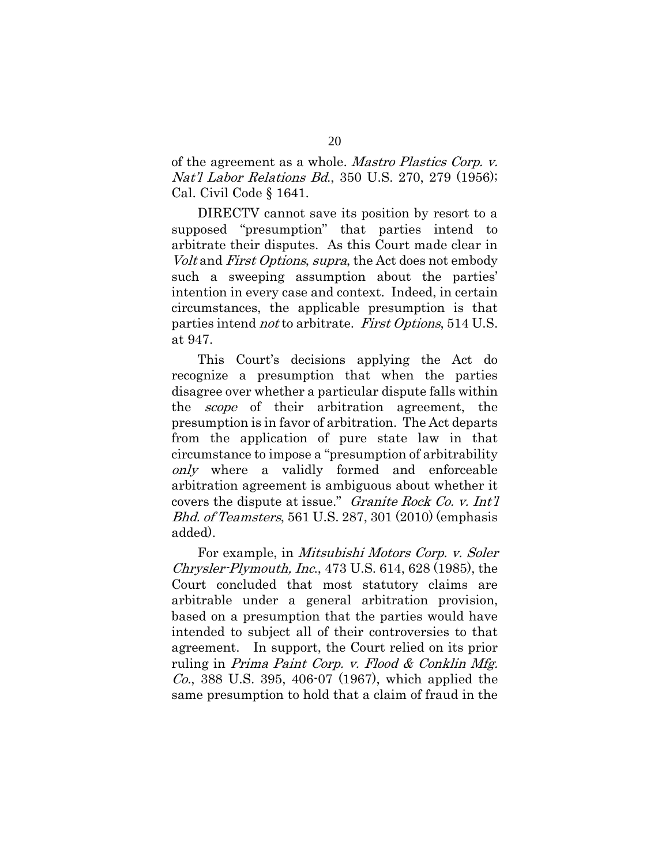of the agreement as a whole. Mastro Plastics Corp. v. Nat'l Labor Relations Bd., 350 U.S. 270, 279 (1956); Cal. Civil Code § 1641.

DIRECTV cannot save its position by resort to a supposed "presumption" that parties intend to arbitrate their disputes. As this Court made clear in Volt and First Options, supra, the Act does not embody such a sweeping assumption about the parties' intention in every case and context. Indeed, in certain circumstances, the applicable presumption is that parties intend *not* to arbitrate. First Options, 514 U.S. at 947.

This Court's decisions applying the Act do recognize a presumption that when the parties disagree over whether a particular dispute falls within the scope of their arbitration agreement, the presumption is in favor of arbitration. The Act departs from the application of pure state law in that circumstance to impose a "presumption of arbitrability only where a validly formed and enforceable arbitration agreement is ambiguous about whether it covers the dispute at issue." Granite Rock Co. v. Int'l Bhd. of Teamsters, 561 U.S. 287, 301 (2010) (emphasis added).

For example, in Mitsubishi Motors Corp. v. Soler Chrysler-Plymouth, Inc., 473 U.S. 614, 628 (1985), the Court concluded that most statutory claims are arbitrable under a general arbitration provision, based on a presumption that the parties would have intended to subject all of their controversies to that agreement. In support, the Court relied on its prior ruling in *Prima Paint Corp. v. Flood & Conklin Mfg.* Co., 388 U.S. 395, 406-07 (1967), which applied the same presumption to hold that a claim of fraud in the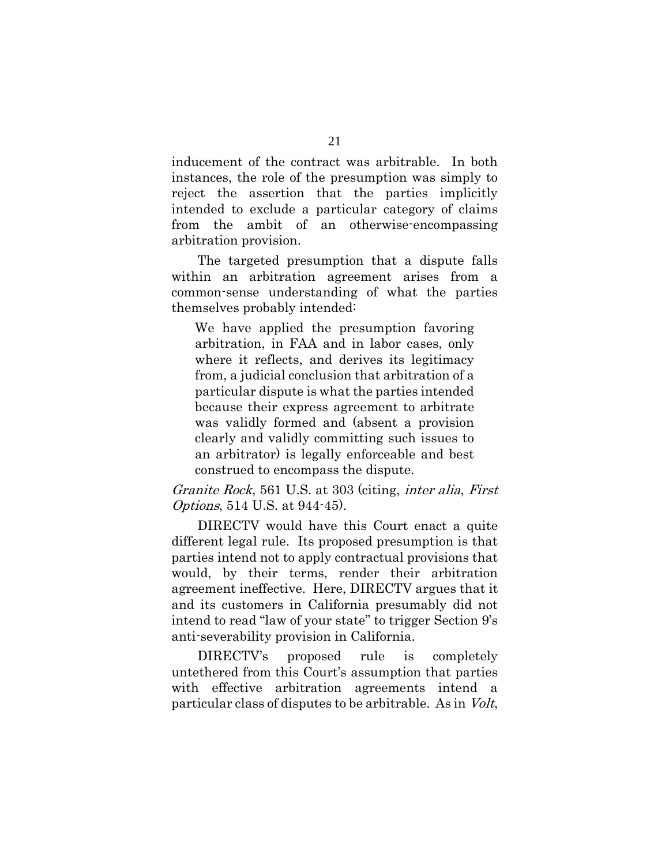inducement of the contract was arbitrable. In both instances, the role of the presumption was simply to reject the assertion that the parties implicitly intended to exclude a particular category of claims from the ambit of an otherwise-encompassing arbitration provision.

The targeted presumption that a dispute falls within an arbitration agreement arises from a common-sense understanding of what the parties themselves probably intended:

We have applied the presumption favoring arbitration, in FAA and in labor cases, only where it reflects, and derives its legitimacy from, a judicial conclusion that arbitration of a particular dispute is what the parties intended because their express agreement to arbitrate was validly formed and (absent a provision clearly and validly committing such issues to an arbitrator) is legally enforceable and best construed to encompass the dispute.

Granite Rock, 561 U.S. at 303 (citing, inter alia, First Options, 514 U.S. at 944-45).

DIRECTV would have this Court enact a quite different legal rule. Its proposed presumption is that parties intend not to apply contractual provisions that would, by their terms, render their arbitration agreement ineffective. Here, DIRECTV argues that it and its customers in California presumably did not intend to read "law of your state" to trigger Section 9's anti-severability provision in California.

DIRECTV's proposed rule is completely untethered from this Court's assumption that parties with effective arbitration agreements intend a particular class of disputes to be arbitrable. As in Volt,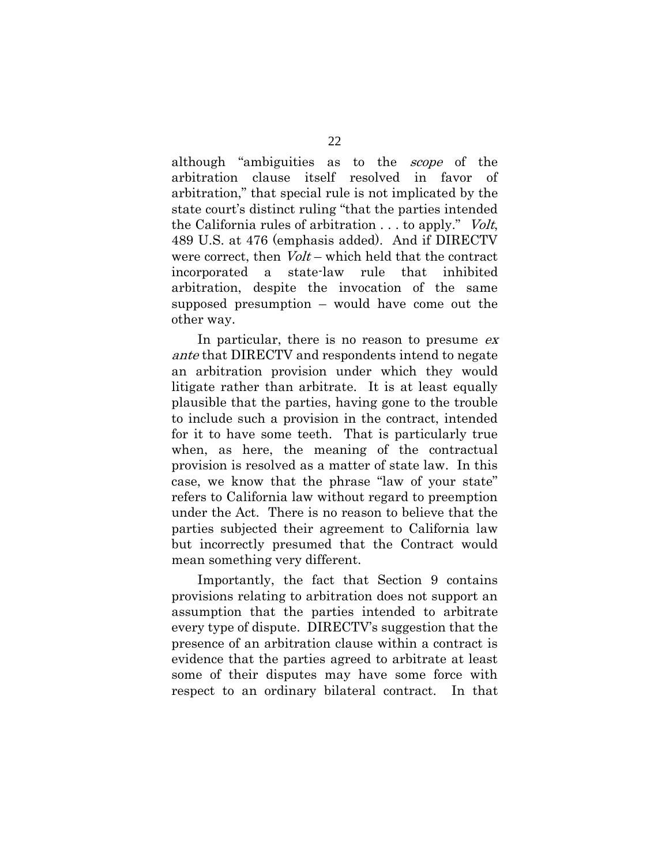although "ambiguities as to the *scope* of the arbitration clause itself resolved in favor of arbitration," that special rule is not implicated by the state court's distinct ruling "that the parties intended the California rules of arbitration . . . to apply." Volt, 489 U.S. at 476 (emphasis added). And if DIRECTV were correct, then  $Volt$  – which held that the contract incorporated a state-law rule that inhibited arbitration, despite the invocation of the same supposed presumption – would have come out the other way.

In particular, there is no reason to presume  $ex$ ante that DIRECTV and respondents intend to negate an arbitration provision under which they would litigate rather than arbitrate. It is at least equally plausible that the parties, having gone to the trouble to include such a provision in the contract, intended for it to have some teeth. That is particularly true when, as here, the meaning of the contractual provision is resolved as a matter of state law. In this case, we know that the phrase "law of your state" refers to California law without regard to preemption under the Act. There is no reason to believe that the parties subjected their agreement to California law but incorrectly presumed that the Contract would mean something very different.

Importantly, the fact that Section 9 contains provisions relating to arbitration does not support an assumption that the parties intended to arbitrate every type of dispute. DIRECTV's suggestion that the presence of an arbitration clause within a contract is evidence that the parties agreed to arbitrate at least some of their disputes may have some force with respect to an ordinary bilateral contract. In that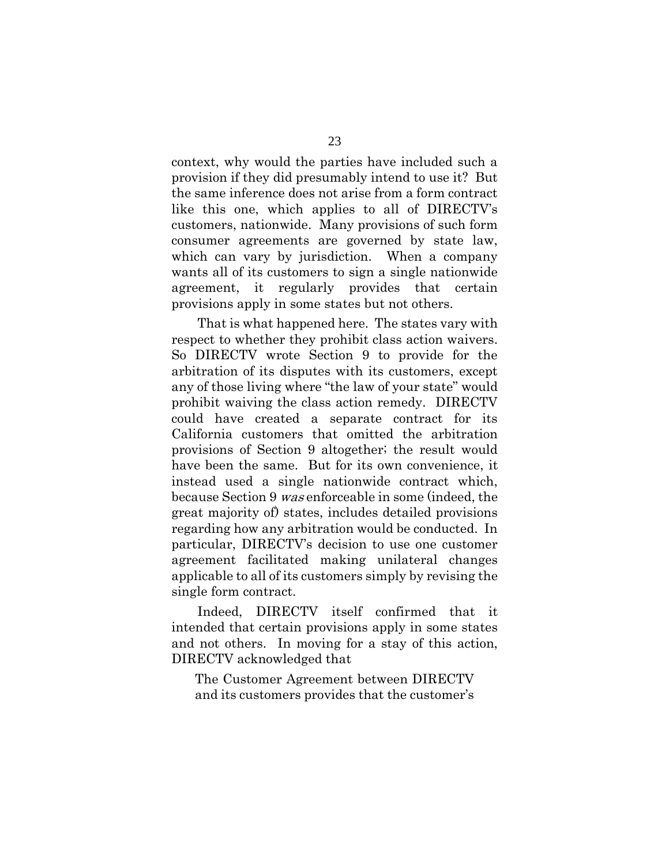context, why would the parties have included such a provision if they did presumably intend to use it? But the same inference does not arise from a form contract like this one, which applies to all of DIRECTV's customers, nationwide. Many provisions of such form consumer agreements are governed by state law, which can vary by jurisdiction. When a company wants all of its customers to sign a single nationwide agreement, it regularly provides that certain provisions apply in some states but not others.

That is what happened here. The states vary with respect to whether they prohibit class action waivers. So DIRECTV wrote Section 9 to provide for the arbitration of its disputes with its customers, except any of those living where "the law of your state" would prohibit waiving the class action remedy. DIRECTV could have created a separate contract for its California customers that omitted the arbitration provisions of Section 9 altogether; the result would have been the same. But for its own convenience, it instead used a single nationwide contract which, because Section 9 was enforceable in some (indeed, the great majority of) states, includes detailed provisions regarding how any arbitration would be conducted. In particular, DIRECTV's decision to use one customer agreement facilitated making unilateral changes applicable to all of its customers simply by revising the single form contract.

Indeed, DIRECTV itself confirmed that it intended that certain provisions apply in some states and not others. In moving for a stay of this action, DIRECTV acknowledged that

The Customer Agreement between DIRECTV and its customers provides that the customer's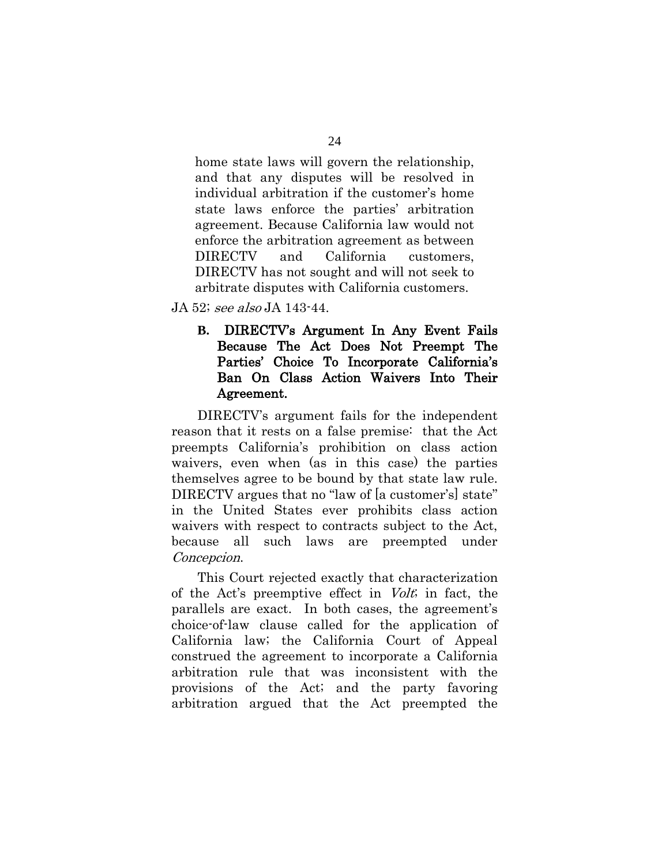home state laws will govern the relationship, and that any disputes will be resolved in individual arbitration if the customer's home state laws enforce the parties' arbitration agreement. Because California law would not enforce the arbitration agreement as between DIRECTV and California customers, DIRECTV has not sought and will not seek to arbitrate disputes with California customers.

JA 52; see also JA 143-44.

**B.** DIRECTV's Argument In Any Event Fails Because The Act Does Not Preempt The Parties' Choice To Incorporate California's Ban On Class Action Waivers Into Their Agreement.

DIRECTV's argument fails for the independent reason that it rests on a false premise: that the Act preempts California's prohibition on class action waivers, even when (as in this case) the parties themselves agree to be bound by that state law rule. DIRECTV argues that no "law of [a customer's] state" in the United States ever prohibits class action waivers with respect to contracts subject to the Act, because all such laws are preempted under Concepcion.

This Court rejected exactly that characterization of the Act's preemptive effect in *Volt*; in fact, the parallels are exact. In both cases, the agreement's choice-of-law clause called for the application of California law; the California Court of Appeal construed the agreement to incorporate a California arbitration rule that was inconsistent with the provisions of the Act; and the party favoring arbitration argued that the Act preempted the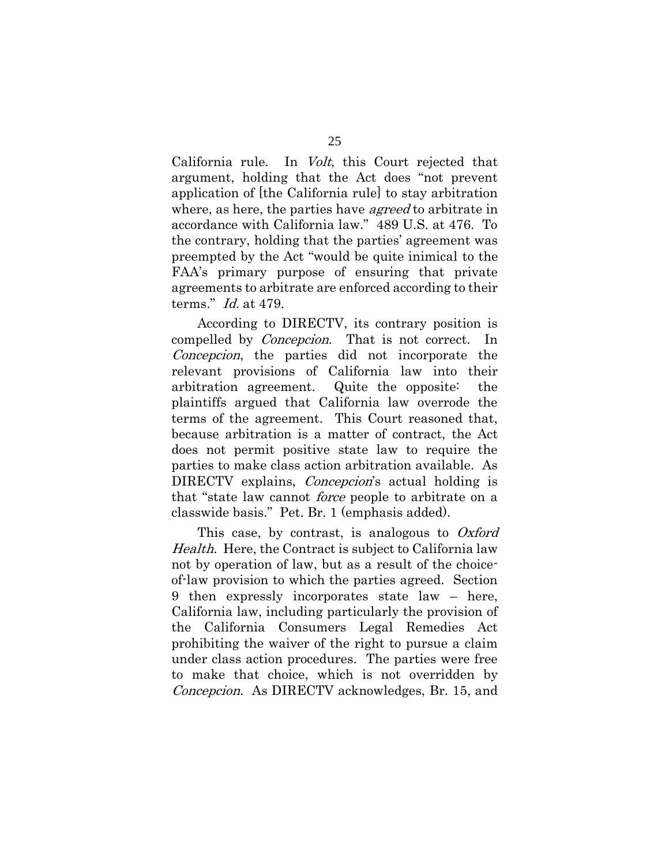California rule. In Volt, this Court rejected that argument, holding that the Act does "not prevent application of [the California rule] to stay arbitration where, as here, the parties have *agreed* to arbitrate in accordance with California law." 489 U.S. at 476. To the contrary, holding that the parties' agreement was preempted by the Act "would be quite inimical to the FAA's primary purpose of ensuring that private agreements to arbitrate are enforced according to their terms." Id. at 479.

According to DIRECTV, its contrary position is compelled by Concepcion. That is not correct. In Concepcion, the parties did not incorporate the relevant provisions of California law into their arbitration agreement. Quite the opposite: the plaintiffs argued that California law overrode the terms of the agreement. This Court reasoned that, because arbitration is a matter of contract, the Act does not permit positive state law to require the parties to make class action arbitration available. As DIRECTV explains, *Concepcion*'s actual holding is that "state law cannot *force* people to arbitrate on a classwide basis." Pet. Br. 1 (emphasis added).

This case, by contrast, is analogous to  $Oxford$ Health. Here, the Contract is subject to California law not by operation of law, but as a result of the choiceof-law provision to which the parties agreed. Section 9 then expressly incorporates state law – here, California law, including particularly the provision of the California Consumers Legal Remedies Act prohibiting the waiver of the right to pursue a claim under class action procedures. The parties were free to make that choice, which is not overridden by Concepcion. As DIRECTV acknowledges, Br. 15, and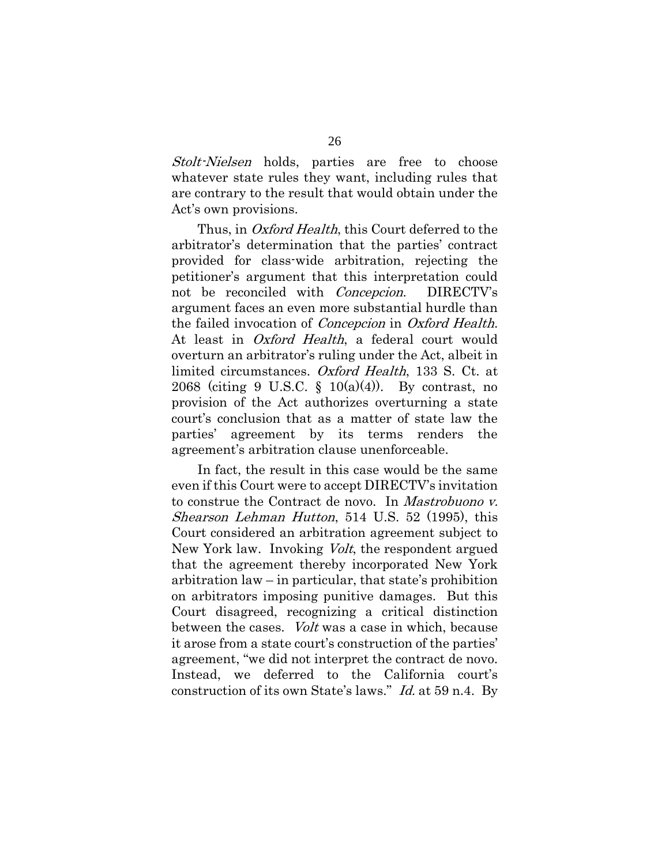Stolt-Nielsen holds, parties are free to choose whatever state rules they want, including rules that are contrary to the result that would obtain under the Act's own provisions.

Thus, in *Oxford Health*, this Court deferred to the arbitrator's determination that the parties' contract provided for class-wide arbitration, rejecting the petitioner's argument that this interpretation could not be reconciled with *Concepcion*. DIRECTV's argument faces an even more substantial hurdle than the failed invocation of *Concepcion* in Oxford Health. At least in *Oxford Health*, a federal court would overturn an arbitrator's ruling under the Act, albeit in limited circumstances. Oxford Health, 133 S. Ct. at 2068 (citing 9 U.S.C.  $\S$  10(a)(4)). By contrast, no provision of the Act authorizes overturning a state court's conclusion that as a matter of state law the parties' agreement by its terms renders the agreement's arbitration clause unenforceable.

In fact, the result in this case would be the same even if this Court were to accept DIRECTV's invitation to construe the Contract de novo. In Mastrobuono v. Shearson Lehman Hutton, 514 U.S. 52 (1995), this Court considered an arbitration agreement subject to New York law. Invoking *Volt*, the respondent argued that the agreement thereby incorporated New York arbitration law – in particular, that state's prohibition on arbitrators imposing punitive damages. But this Court disagreed, recognizing a critical distinction between the cases. *Volt* was a case in which, because it arose from a state court's construction of the parties' agreement, "we did not interpret the contract de novo. Instead, we deferred to the California court's construction of its own State's laws." Id. at 59 n.4. By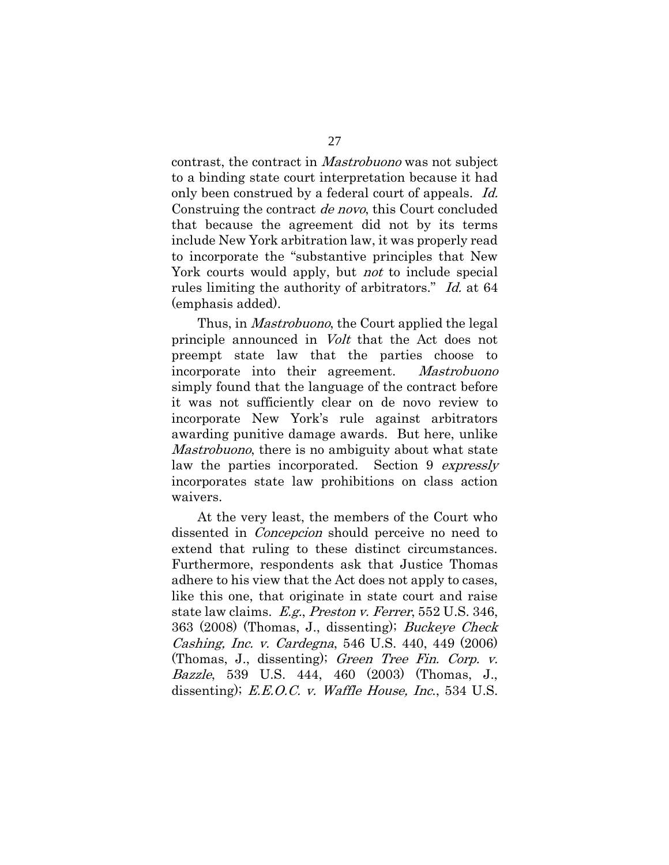contrast, the contract in Mastrobuono was not subject to a binding state court interpretation because it had only been construed by a federal court of appeals. Id. Construing the contract de novo, this Court concluded that because the agreement did not by its terms include New York arbitration law, it was properly read to incorporate the "substantive principles that New York courts would apply, but *not* to include special rules limiting the authority of arbitrators." Id. at 64 (emphasis added).

Thus, in *Mastrobuono*, the Court applied the legal principle announced in *Volt* that the Act does not preempt state law that the parties choose to incorporate into their agreement. Mastrobuono simply found that the language of the contract before it was not sufficiently clear on de novo review to incorporate New York's rule against arbitrators awarding punitive damage awards. But here, unlike Mastrobuono, there is no ambiguity about what state law the parties incorporated. Section 9 expressly incorporates state law prohibitions on class action waivers.

At the very least, the members of the Court who dissented in *Concepcion* should perceive no need to extend that ruling to these distinct circumstances. Furthermore, respondents ask that Justice Thomas adhere to his view that the Act does not apply to cases, like this one, that originate in state court and raise state law claims. E.g., Preston v. Ferrer, 552 U.S. 346, 363 (2008) (Thomas, J., dissenting); Buckeye Check Cashing, Inc. v. Cardegna, 546 U.S. 440, 449 (2006) (Thomas, J., dissenting); Green Tree Fin. Corp. v. Bazzle, 539 U.S. 444, 460 (2003) (Thomas, J., dissenting);  $E.E.O.C. v.$  Waffle House, Inc., 534 U.S.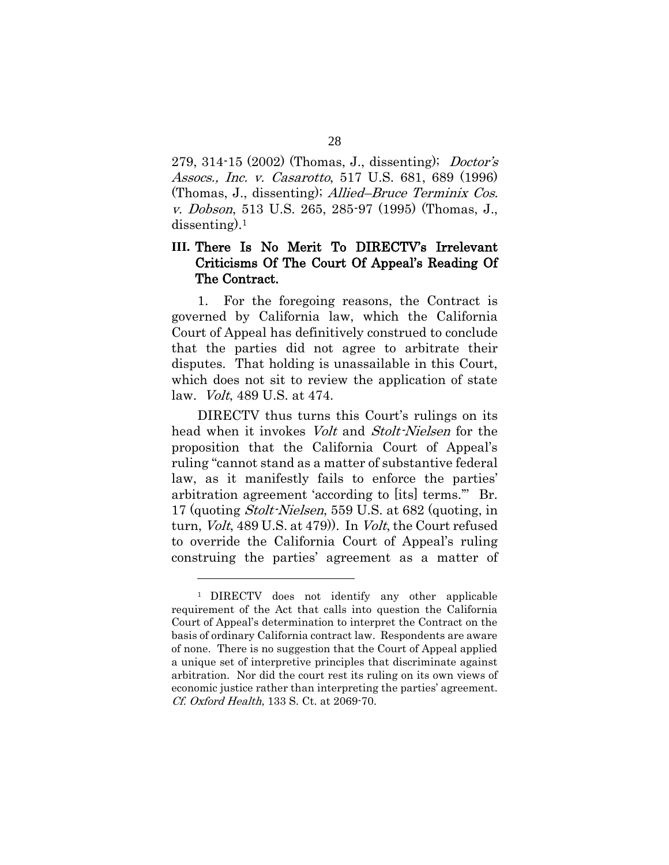279, 314-15 (2002) (Thomas, J., dissenting); *Doctor's* Assocs., Inc. v. Casarotto, 517 U.S. 681, 689 (1996) (Thomas, J., dissenting); Allied–Bruce Terminix Cos. v. Dobson, 513 U.S. 265, 285-97 (1995) (Thomas, J., dissenting).<sup>1</sup>

## **III.** There Is No Merit To DIRECTV's Irrelevant Criticisms Of The Court Of Appeal's Reading Of The Contract.

1. For the foregoing reasons, the Contract is governed by California law, which the California Court of Appeal has definitively construed to conclude that the parties did not agree to arbitrate their disputes. That holding is unassailable in this Court, which does not sit to review the application of state law. Volt, 489 U.S. at 474.

DIRECTV thus turns this Court's rulings on its head when it invokes *Volt* and *Stolt-Nielsen* for the proposition that the California Court of Appeal's ruling "cannot stand as a matter of substantive federal law, as it manifestly fails to enforce the parties' arbitration agreement 'according to [its] terms.'" Br. 17 (quoting Stolt-Nielsen, 559 U.S. at 682 (quoting, in turn, *Volt*, 489 U.S. at 479). In *Volt*, the Court refused to override the California Court of Appeal's ruling construing the parties' agreement as a matter of

1

<sup>&</sup>lt;sup>1</sup> DIRECTV does not identify any other applicable requirement of the Act that calls into question the California Court of Appeal's determination to interpret the Contract on the basis of ordinary California contract law. Respondents are aware of none. There is no suggestion that the Court of Appeal applied a unique set of interpretive principles that discriminate against arbitration. Nor did the court rest its ruling on its own views of economic justice rather than interpreting the parties' agreement. Cf. Oxford Health, 133 S. Ct. at 2069-70.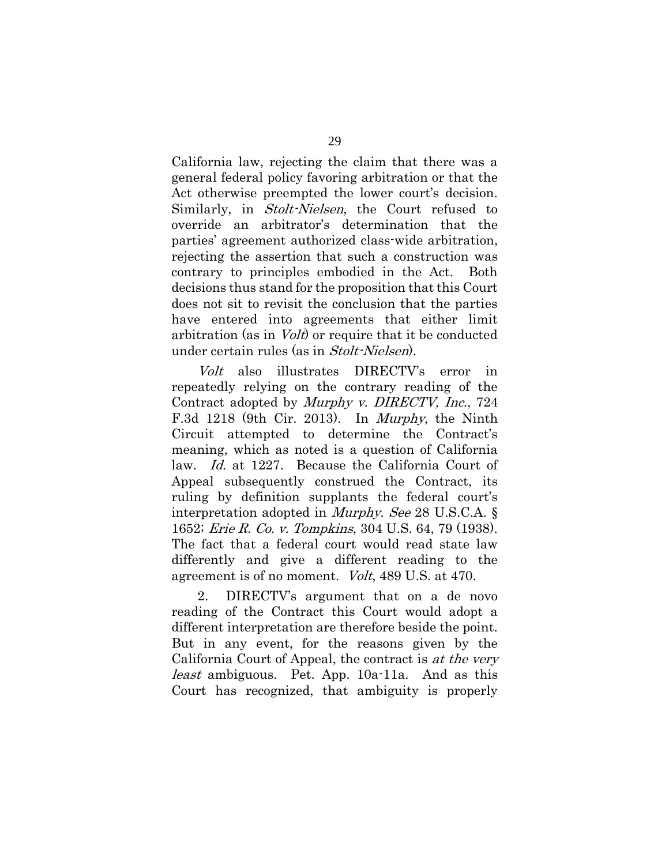California law, rejecting the claim that there was a general federal policy favoring arbitration or that the Act otherwise preempted the lower court's decision. Similarly, in *Stolt-Nielsen*, the Court refused to override an arbitrator's determination that the parties' agreement authorized class-wide arbitration, rejecting the assertion that such a construction was contrary to principles embodied in the Act. Both decisions thus stand for the proposition that this Court does not sit to revisit the conclusion that the parties have entered into agreements that either limit arbitration (as in *Volt*) or require that it be conducted under certain rules (as in Stolt-Nielsen).

Volt also illustrates DIRECTV's error in repeatedly relying on the contrary reading of the Contract adopted by Murphy v. DIRECTV, Inc., 724 F.3d 1218 (9th Cir. 2013). In Murphy, the Ninth Circuit attempted to determine the Contract's meaning, which as noted is a question of California law. *Id.* at 1227. Because the California Court of Appeal subsequently construed the Contract, its ruling by definition supplants the federal court's interpretation adopted in Murphy. See 28 U.S.C.A. § 1652; Erie R. Co. v. Tompkins, 304 U.S. 64, 79 (1938). The fact that a federal court would read state law differently and give a different reading to the agreement is of no moment. Volt, 489 U.S. at 470.

2. DIRECTV's argument that on a de novo reading of the Contract this Court would adopt a different interpretation are therefore beside the point. But in any event, for the reasons given by the California Court of Appeal, the contract is at the very least ambiguous. Pet. App. 10a-11a. And as this Court has recognized, that ambiguity is properly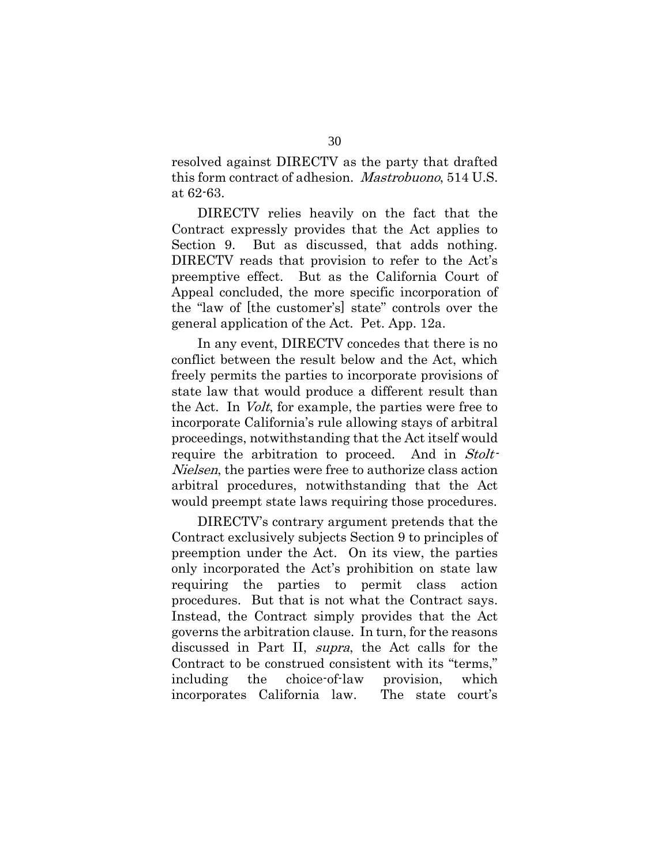resolved against DIRECTV as the party that drafted this form contract of adhesion. Mastrobuono, 514 U.S. at 62-63.

DIRECTV relies heavily on the fact that the Contract expressly provides that the Act applies to Section 9. But as discussed, that adds nothing. DIRECTV reads that provision to refer to the Act's preemptive effect. But as the California Court of Appeal concluded, the more specific incorporation of the "law of [the customer's] state" controls over the general application of the Act. Pet. App. 12a.

In any event, DIRECTV concedes that there is no conflict between the result below and the Act, which freely permits the parties to incorporate provisions of state law that would produce a different result than the Act. In Volt, for example, the parties were free to incorporate California's rule allowing stays of arbitral proceedings, notwithstanding that the Act itself would require the arbitration to proceed. And in Stolt-Nielsen, the parties were free to authorize class action arbitral procedures, notwithstanding that the Act would preempt state laws requiring those procedures.

DIRECTV's contrary argument pretends that the Contract exclusively subjects Section 9 to principles of preemption under the Act. On its view, the parties only incorporated the Act's prohibition on state law requiring the parties to permit class action procedures. But that is not what the Contract says. Instead, the Contract simply provides that the Act governs the arbitration clause. In turn, for the reasons discussed in Part II, supra, the Act calls for the Contract to be construed consistent with its "terms," including the choice-of-law provision, which incorporates California law. The state court's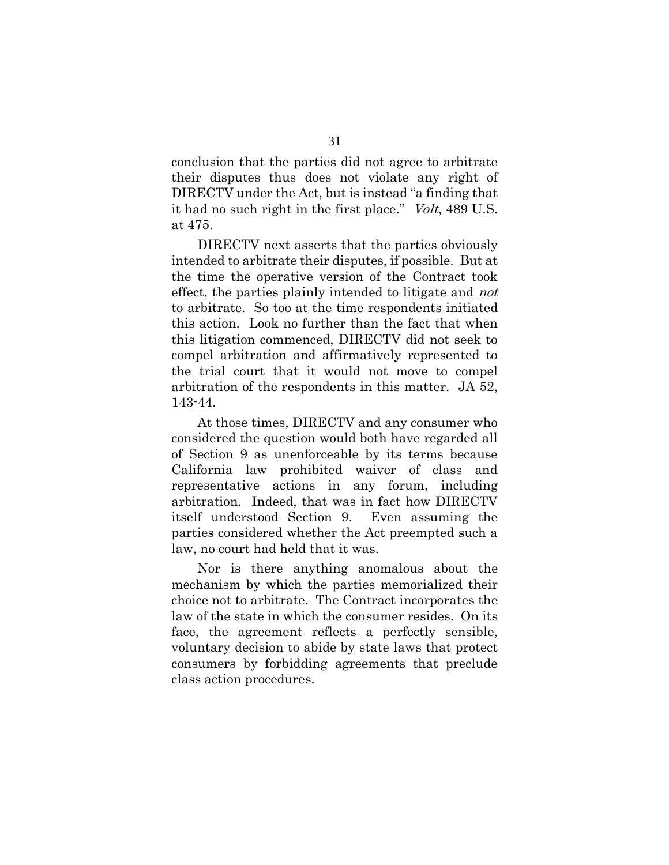conclusion that the parties did not agree to arbitrate their disputes thus does not violate any right of DIRECTV under the Act, but is instead "a finding that it had no such right in the first place." *Volt*, 489 U.S. at 475.

DIRECTV next asserts that the parties obviously intended to arbitrate their disputes, if possible. But at the time the operative version of the Contract took effect, the parties plainly intended to litigate and *not* to arbitrate. So too at the time respondents initiated this action. Look no further than the fact that when this litigation commenced, DIRECTV did not seek to compel arbitration and affirmatively represented to the trial court that it would not move to compel arbitration of the respondents in this matter. JA 52, 143-44.

At those times, DIRECTV and any consumer who considered the question would both have regarded all of Section 9 as unenforceable by its terms because California law prohibited waiver of class and representative actions in any forum, including arbitration. Indeed, that was in fact how DIRECTV itself understood Section 9. Even assuming the parties considered whether the Act preempted such a law, no court had held that it was.

Nor is there anything anomalous about the mechanism by which the parties memorialized their choice not to arbitrate. The Contract incorporates the law of the state in which the consumer resides. On its face, the agreement reflects a perfectly sensible, voluntary decision to abide by state laws that protect consumers by forbidding agreements that preclude class action procedures.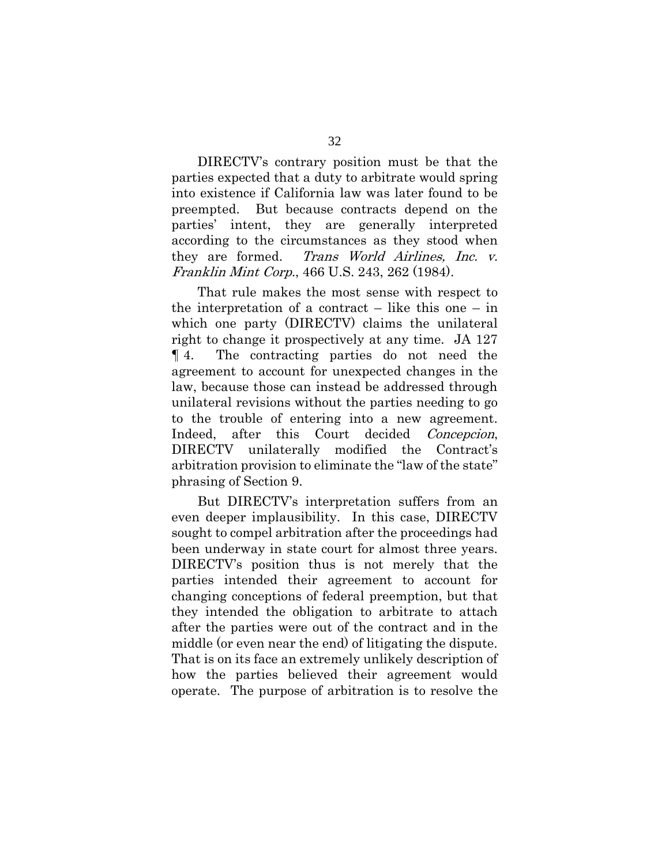DIRECTV's contrary position must be that the parties expected that a duty to arbitrate would spring into existence if California law was later found to be preempted. But because contracts depend on the parties' intent, they are generally interpreted according to the circumstances as they stood when they are formed. Trans World Airlines, Inc. v. Franklin Mint Corp., 466 U.S. 243, 262 (1984).

That rule makes the most sense with respect to the interpretation of a contract – like this one – in which one party (DIRECTV) claims the unilateral right to change it prospectively at any time. JA 127 ¶ 4. The contracting parties do not need the agreement to account for unexpected changes in the law, because those can instead be addressed through unilateral revisions without the parties needing to go to the trouble of entering into a new agreement. Indeed, after this Court decided Concepcion, DIRECTV unilaterally modified the Contract's arbitration provision to eliminate the "law of the state" phrasing of Section 9.

But DIRECTV's interpretation suffers from an even deeper implausibility. In this case, DIRECTV sought to compel arbitration after the proceedings had been underway in state court for almost three years. DIRECTV's position thus is not merely that the parties intended their agreement to account for changing conceptions of federal preemption, but that they intended the obligation to arbitrate to attach after the parties were out of the contract and in the middle (or even near the end) of litigating the dispute. That is on its face an extremely unlikely description of how the parties believed their agreement would operate. The purpose of arbitration is to resolve the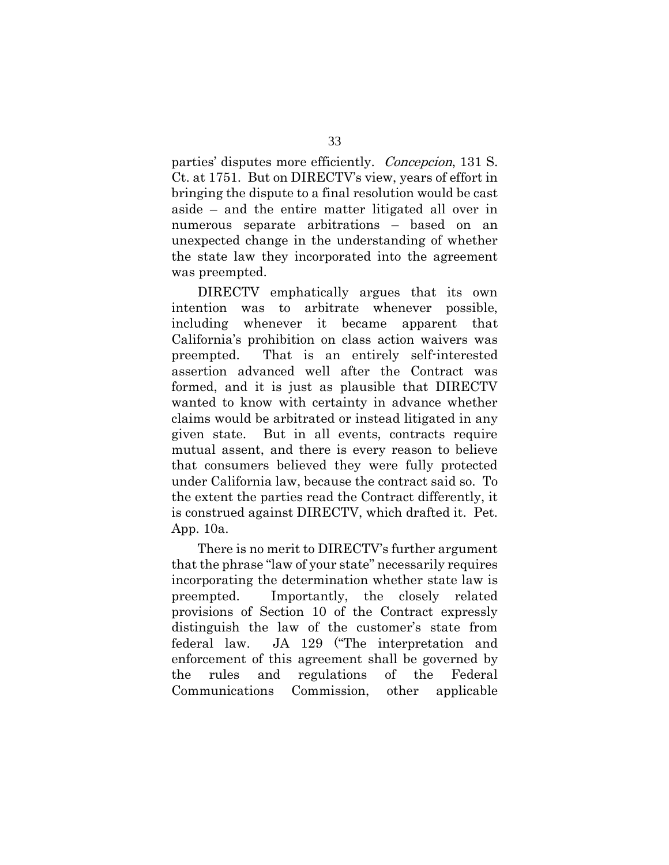parties' disputes more efficiently. Concepcion, 131 S. Ct. at 1751. But on DIRECTV's view, years of effort in bringing the dispute to a final resolution would be cast aside – and the entire matter litigated all over in numerous separate arbitrations – based on an unexpected change in the understanding of whether the state law they incorporated into the agreement was preempted.

DIRECTV emphatically argues that its own intention was to arbitrate whenever possible, including whenever it became apparent that California's prohibition on class action waivers was preempted. That is an entirely self-interested assertion advanced well after the Contract was formed, and it is just as plausible that DIRECTV wanted to know with certainty in advance whether claims would be arbitrated or instead litigated in any given state. But in all events, contracts require mutual assent, and there is every reason to believe that consumers believed they were fully protected under California law, because the contract said so. To the extent the parties read the Contract differently, it is construed against DIRECTV, which drafted it. Pet. App. 10a.

There is no merit to DIRECTV's further argument that the phrase "law of your state" necessarily requires incorporating the determination whether state law is preempted. Importantly, the closely related provisions of Section 10 of the Contract expressly distinguish the law of the customer's state from federal law. JA 129 ("The interpretation and enforcement of this agreement shall be governed by the rules and regulations of the Federal Communications Commission, other applicable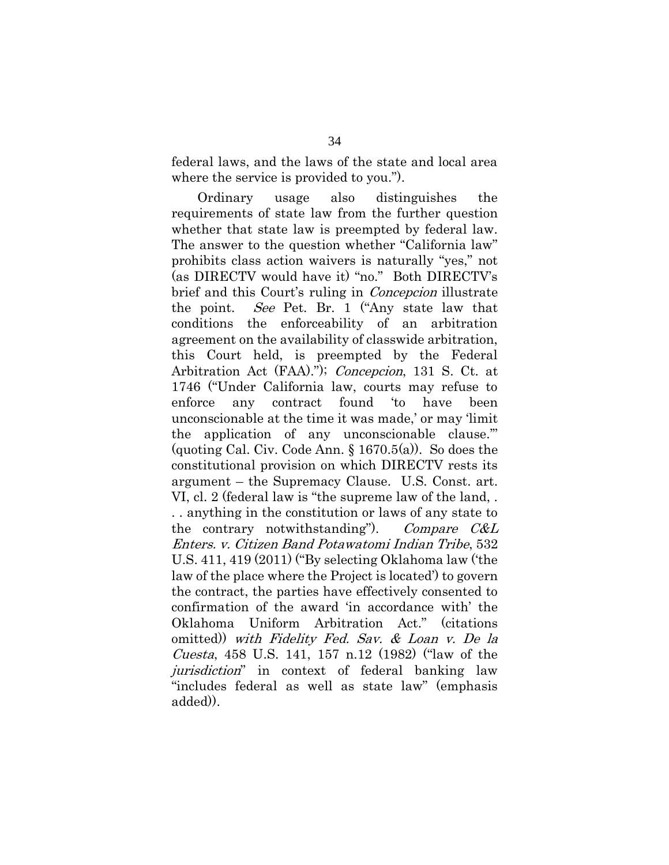federal laws, and the laws of the state and local area where the service is provided to you.").

Ordinary usage also distinguishes the requirements of state law from the further question whether that state law is preempted by federal law. The answer to the question whether "California law" prohibits class action waivers is naturally "yes," not (as DIRECTV would have it) "no." Both DIRECTV's brief and this Court's ruling in *Concepcion* illustrate the point. See Pet. Br. 1 ("Any state law that conditions the enforceability of an arbitration agreement on the availability of classwide arbitration, this Court held, is preempted by the Federal Arbitration Act (FAA)."); *Concepcion*, 131 S. Ct. at 1746 ("Under California law, courts may refuse to enforce any contract found 'to have been unconscionable at the time it was made,' or may 'limit the application of any unconscionable clause.'" (quoting Cal. Civ. Code Ann. § 1670.5(a)). So does the constitutional provision on which DIRECTV rests its argument – the Supremacy Clause. U.S. Const. art. VI, cl. 2 (federal law is "the supreme law of the land, . . . anything in the constitution or laws of any state to the contrary notwithstanding". Compare C&L Enters. v. Citizen Band Potawatomi Indian Tribe, 532 U.S. 411, 419 (2011) ("By selecting Oklahoma law ('the law of the place where the Project is located') to govern the contract, the parties have effectively consented to confirmation of the award 'in accordance with' the Oklahoma Uniform Arbitration Act." (citations omitted)) with Fidelity Fed. Sav. & Loan v. De la Cuesta, 458 U.S. 141, 157 n.12 (1982) ("law of the jurisdiction" in context of federal banking law "includes federal as well as state law" (emphasis added)).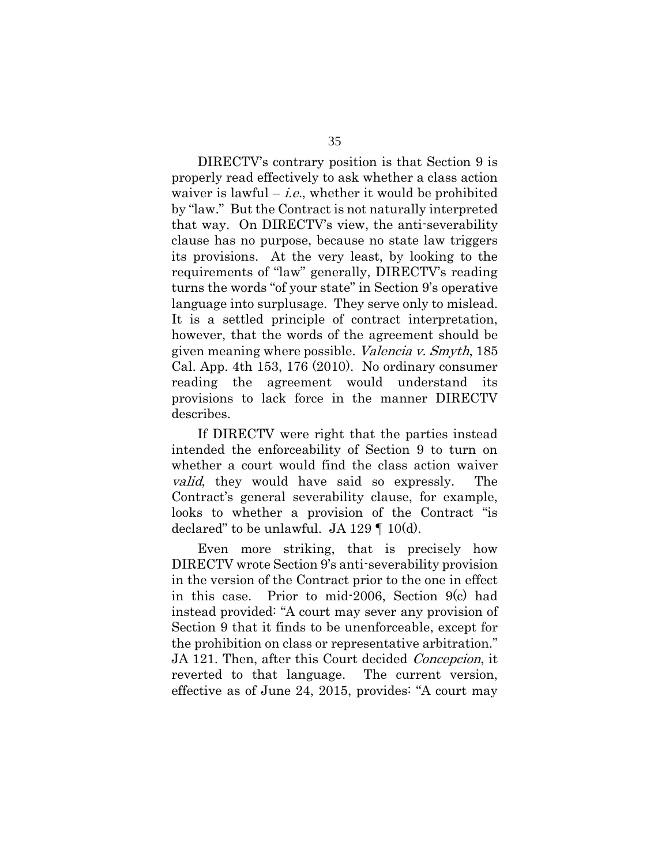DIRECTV's contrary position is that Section 9 is properly read effectively to ask whether a class action waiver is lawful – *i.e.*, whether it would be prohibited by "law." But the Contract is not naturally interpreted that way. On DIRECTV's view, the anti-severability clause has no purpose, because no state law triggers its provisions. At the very least, by looking to the requirements of "law" generally, DIRECTV's reading turns the words "of your state" in Section 9's operative language into surplusage. They serve only to mislead. It is a settled principle of contract interpretation, however, that the words of the agreement should be given meaning where possible. Valencia v. Smyth, 185 Cal. App. 4th 153, 176 (2010). No ordinary consumer reading the agreement would understand its provisions to lack force in the manner DIRECTV describes.

If DIRECTV were right that the parties instead intended the enforceability of Section 9 to turn on whether a court would find the class action waiver valid, they would have said so expressly. The Contract's general severability clause, for example, looks to whether a provision of the Contract "is declared" to be unlawful. JA 129 ¶ 10(d).

Even more striking, that is precisely how DIRECTV wrote Section 9's anti-severability provision in the version of the Contract prior to the one in effect in this case. Prior to mid-2006, Section 9(c) had instead provided: "A court may sever any provision of Section 9 that it finds to be unenforceable, except for the prohibition on class or representative arbitration." JA 121. Then, after this Court decided *Concepcion*, it reverted to that language. The current version, effective as of June 24, 2015, provides: "A court may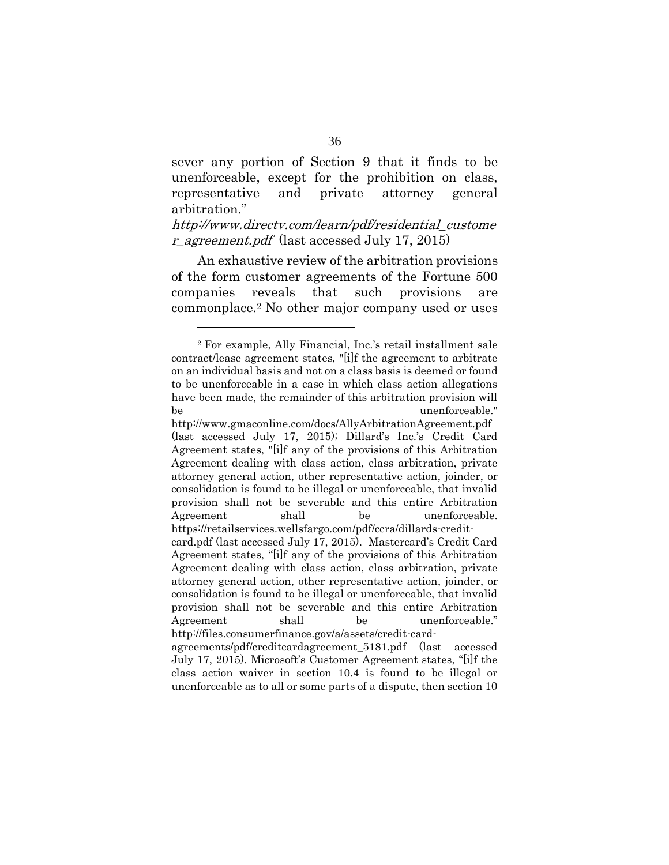sever any portion of Section 9 that it finds to be unenforceable, except for the prohibition on class, representative and private attorney general arbitration."

http://www.directv.com/learn/pdf/residential\_custome r agreement.pdf (last accessed July 17, 2015)

An exhaustive review of the arbitration provisions of the form customer agreements of the Fortune 500 companies reveals that such provisions are commonplace.<sup>2</sup> No other major company used or uses

1

<sup>2</sup> For example, Ally Financial, Inc.'s retail installment sale contract/lease agreement states, "[i]f the agreement to arbitrate on an individual basis and not on a class basis is deemed or found to be unenforceable in a case in which class action allegations have been made, the remainder of this arbitration provision will be unenforceable."

http://www.gmaconline.com/docs/AllyArbitrationAgreement.pdf (last accessed July 17, 2015); Dillard's Inc.'s Credit Card Agreement states, "[i]f any of the provisions of this Arbitration Agreement dealing with class action, class arbitration, private attorney general action, other representative action, joinder, or consolidation is found to be illegal or unenforceable, that invalid provision shall not be severable and this entire Arbitration Agreement shall be unenforceable. https://retailservices.wellsfargo.com/pdf/ccra/dillards-creditcard.pdf (last accessed July 17, 2015). Mastercard's Credit Card Agreement states, "[i]f any of the provisions of this Arbitration

Agreement dealing with class action, class arbitration, private attorney general action, other representative action, joinder, or consolidation is found to be illegal or unenforceable, that invalid provision shall not be severable and this entire Arbitration Agreement shall be unenforceable." http://files.consumerfinance.gov/a/assets/credit-card-

agreements/pdf/creditcardagreement\_5181.pdf (last accessed July 17, 2015). Microsoft's Customer Agreement states, "[i]f the class action waiver in section 10.4 is found to be illegal or unenforceable as to all or some parts of a dispute, then section 10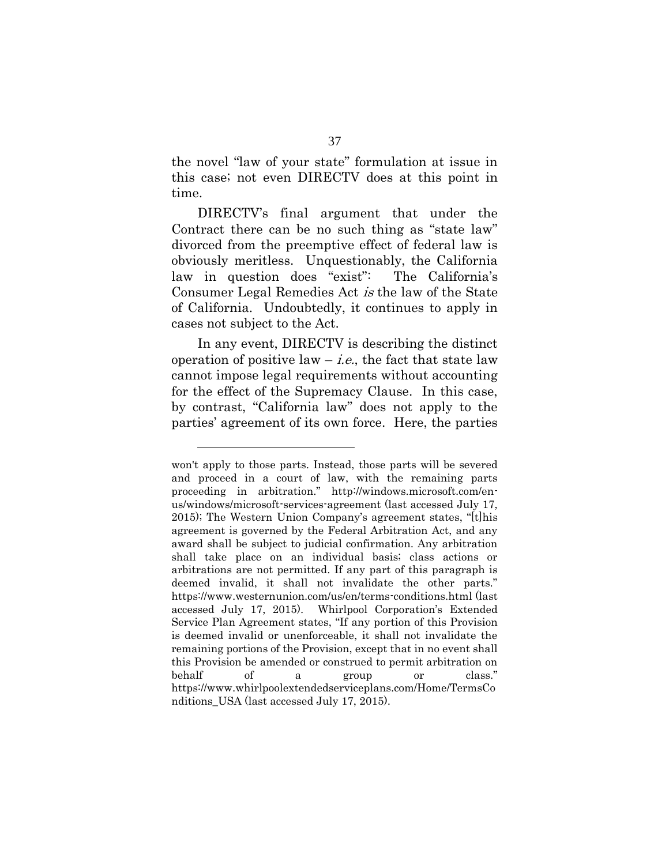the novel "law of your state" formulation at issue in this case; not even DIRECTV does at this point in time.

DIRECTV's final argument that under the Contract there can be no such thing as "state law" divorced from the preemptive effect of federal law is obviously meritless. Unquestionably, the California law in question does "exist": The California's Consumer Legal Remedies Act is the law of the State of California. Undoubtedly, it continues to apply in cases not subject to the Act.

In any event, DIRECTV is describing the distinct operation of positive law  $-i.e.,$  the fact that state law cannot impose legal requirements without accounting for the effect of the Supremacy Clause. In this case, by contrast, "California law" does not apply to the parties' agreement of its own force. Here, the parties

1

won't apply to those parts. Instead, those parts will be severed and proceed in a court of law, with the remaining parts proceeding in arbitration." http://windows.microsoft.com/enus/windows/microsoft-services-agreement (last accessed July 17, 2015); The Western Union Company's agreement states, "[t]his agreement is governed by the Federal Arbitration Act, and any award shall be subject to judicial confirmation. Any arbitration shall take place on an individual basis; class actions or arbitrations are not permitted. If any part of this paragraph is deemed invalid, it shall not invalidate the other parts." https://www.westernunion.com/us/en/terms-conditions.html (last accessed July 17, 2015). Whirlpool Corporation's Extended Service Plan Agreement states, "If any portion of this Provision is deemed invalid or unenforceable, it shall not invalidate the remaining portions of the Provision, except that in no event shall this Provision be amended or construed to permit arbitration on behalf of a group or class." https://www.whirlpoolextendedserviceplans.com/Home/TermsCo nditions\_USA (last accessed July 17, 2015).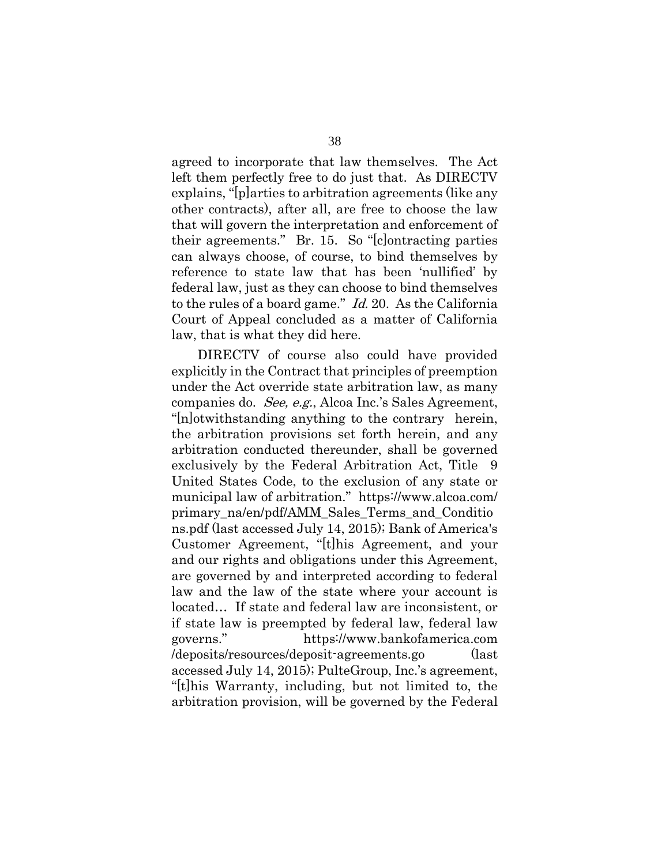agreed to incorporate that law themselves. The Act left them perfectly free to do just that. As DIRECTV explains, "[p]arties to arbitration agreements (like any other contracts), after all, are free to choose the law that will govern the interpretation and enforcement of their agreements." Br. 15. So "[c]ontracting parties can always choose, of course, to bind themselves by reference to state law that has been 'nullified' by federal law, just as they can choose to bind themselves to the rules of a board game." Id. 20. As the California Court of Appeal concluded as a matter of California law, that is what they did here.

DIRECTV of course also could have provided explicitly in the Contract that principles of preemption under the Act override state arbitration law, as many companies do. See, e.g., Alcoa Inc.'s Sales Agreement, "[n]otwithstanding anything to the contrary herein, the arbitration provisions set forth herein, and any arbitration conducted thereunder, shall be governed exclusively by the Federal Arbitration Act, Title 9 United States Code, to the exclusion of any state or municipal law of arbitration." https://www.alcoa.com/ primary\_na/en/pdf/AMM\_Sales\_Terms\_and\_Conditio ns.pdf (last accessed July 14, 2015); Bank of America's Customer Agreement, "[t]his Agreement, and your and our rights and obligations under this Agreement, are governed by and interpreted according to federal law and the law of the state where your account is located… If state and federal law are inconsistent, or if state law is preempted by federal law, federal law governs." https://www.bankofamerica.com /deposits/resources/deposit-agreements.go (last accessed July 14, 2015); PulteGroup, Inc.'s agreement, "[t]his Warranty, including, but not limited to, the arbitration provision, will be governed by the Federal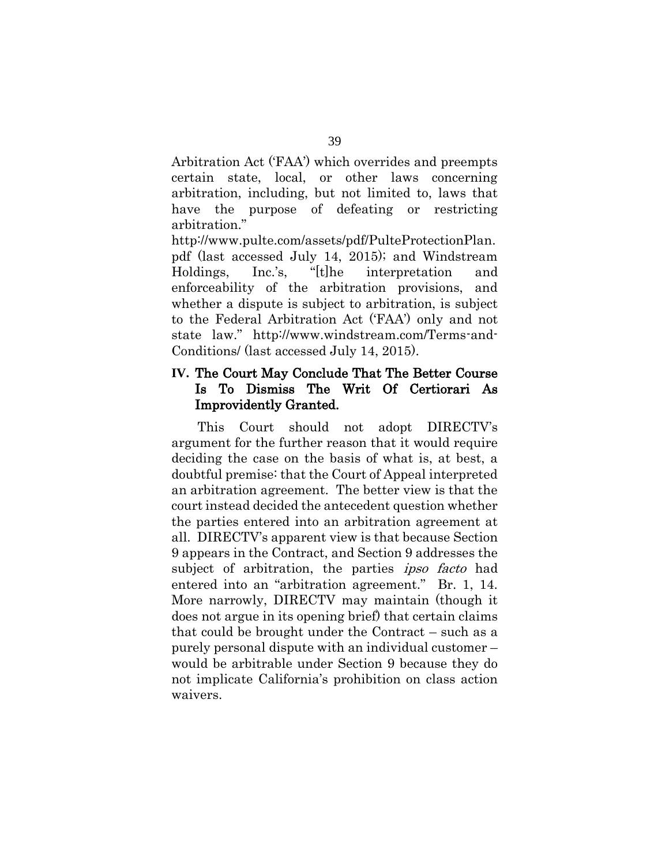Arbitration Act ('FAA') which overrides and preempts certain state, local, or other laws concerning arbitration, including, but not limited to, laws that have the purpose of defeating or restricting arbitration."

http://www.pulte.com/assets/pdf/PulteProtectionPlan. pdf (last accessed July 14, 2015); and Windstream Holdings, Inc.'s, "[t]he interpretation and enforceability of the arbitration provisions, and whether a dispute is subject to arbitration, is subject to the Federal Arbitration Act ('FAA') only and not state law." http://www.windstream.com/Terms-and-Conditions/ (last accessed July 14, 2015).

### **IV.** The Court May Conclude That The Better Course Is To Dismiss The Writ Of Certiorari As Improvidently Granted.

This Court should not adopt DIRECTV's argument for the further reason that it would require deciding the case on the basis of what is, at best, a doubtful premise: that the Court of Appeal interpreted an arbitration agreement. The better view is that the court instead decided the antecedent question whether the parties entered into an arbitration agreement at all. DIRECTV's apparent view is that because Section 9 appears in the Contract, and Section 9 addresses the subject of arbitration, the parties *ipso facto* had entered into an "arbitration agreement." Br. 1, 14. More narrowly, DIRECTV may maintain (though it does not argue in its opening brief) that certain claims that could be brought under the Contract – such as a purely personal dispute with an individual customer – would be arbitrable under Section 9 because they do not implicate California's prohibition on class action waivers.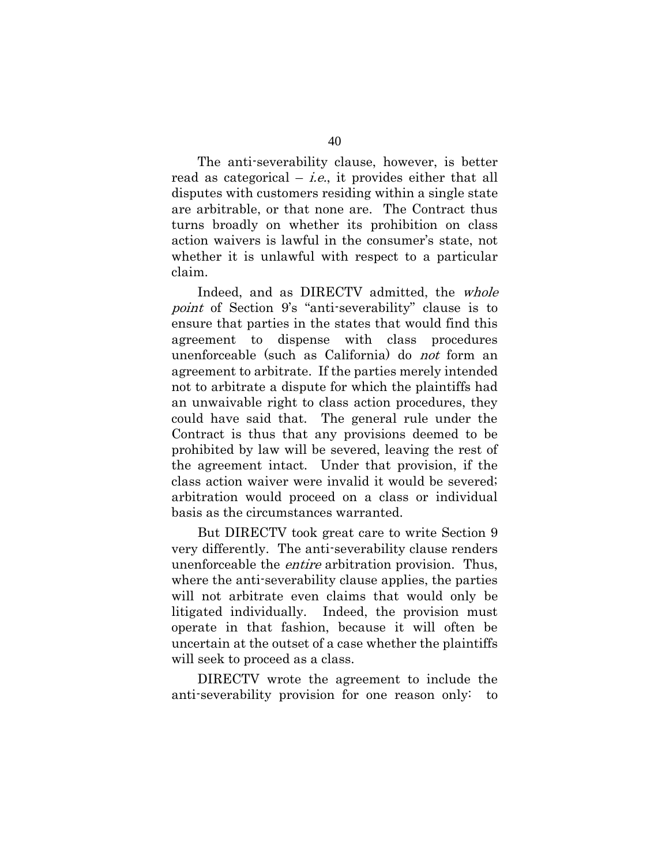The anti-severability clause, however, is better read as categorical  $-$  *i.e.*, it provides either that all disputes with customers residing within a single state are arbitrable, or that none are. The Contract thus turns broadly on whether its prohibition on class action waivers is lawful in the consumer's state, not whether it is unlawful with respect to a particular claim.

Indeed, and as DIRECTV admitted, the whole point of Section 9's "anti-severability" clause is to ensure that parties in the states that would find this agreement to dispense with class procedures unenforceable (such as California) do not form an agreement to arbitrate. If the parties merely intended not to arbitrate a dispute for which the plaintiffs had an unwaivable right to class action procedures, they could have said that. The general rule under the Contract is thus that any provisions deemed to be prohibited by law will be severed, leaving the rest of the agreement intact. Under that provision, if the class action waiver were invalid it would be severed; arbitration would proceed on a class or individual basis as the circumstances warranted.

But DIRECTV took great care to write Section 9 very differently. The anti-severability clause renders unenforceable the entire arbitration provision. Thus, where the anti-severability clause applies, the parties will not arbitrate even claims that would only be litigated individually. Indeed, the provision must operate in that fashion, because it will often be uncertain at the outset of a case whether the plaintiffs will seek to proceed as a class.

DIRECTV wrote the agreement to include the anti-severability provision for one reason only: to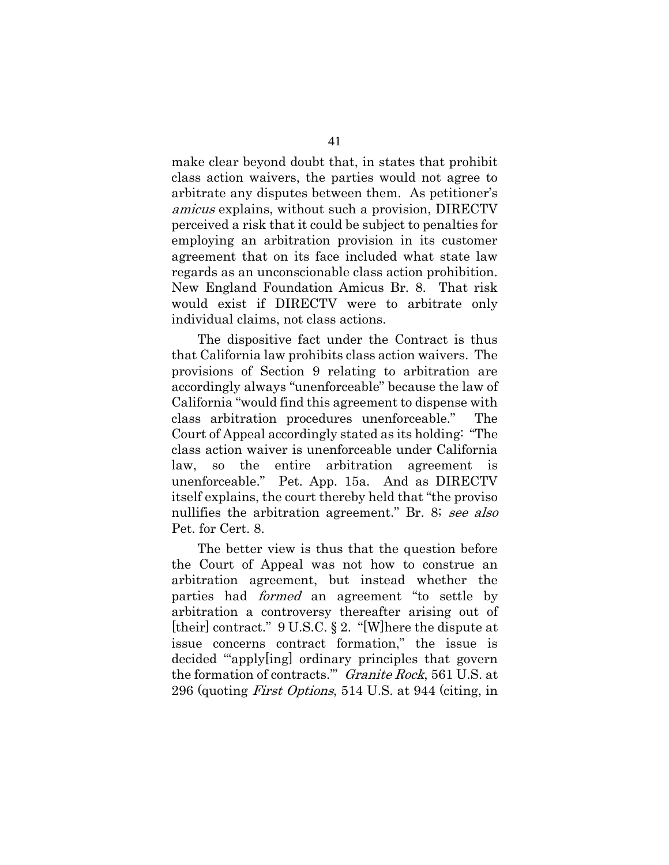make clear beyond doubt that, in states that prohibit class action waivers, the parties would not agree to arbitrate any disputes between them. As petitioner's amicus explains, without such a provision, DIRECTV perceived a risk that it could be subject to penalties for employing an arbitration provision in its customer agreement that on its face included what state law regards as an unconscionable class action prohibition. New England Foundation Amicus Br. 8. That risk would exist if DIRECTV were to arbitrate only individual claims, not class actions.

The dispositive fact under the Contract is thus that California law prohibits class action waivers. The provisions of Section 9 relating to arbitration are accordingly always "unenforceable" because the law of California "would find this agreement to dispense with class arbitration procedures unenforceable." The Court of Appeal accordingly stated as its holding: "The class action waiver is unenforceable under California law, so the entire arbitration agreement is unenforceable." Pet. App. 15a. And as DIRECTV itself explains, the court thereby held that "the proviso nullifies the arbitration agreement." Br. 8; see also Pet. for Cert. 8.

The better view is thus that the question before the Court of Appeal was not how to construe an arbitration agreement, but instead whether the parties had formed an agreement "to settle by arbitration a controversy thereafter arising out of [their] contract." 9 U.S.C. § 2. "[W]here the dispute at issue concerns contract formation," the issue is decided "'apply[ing] ordinary principles that govern the formation of contracts." Granite Rock, 561 U.S. at 296 (quoting First Options, 514 U.S. at 944 (citing, in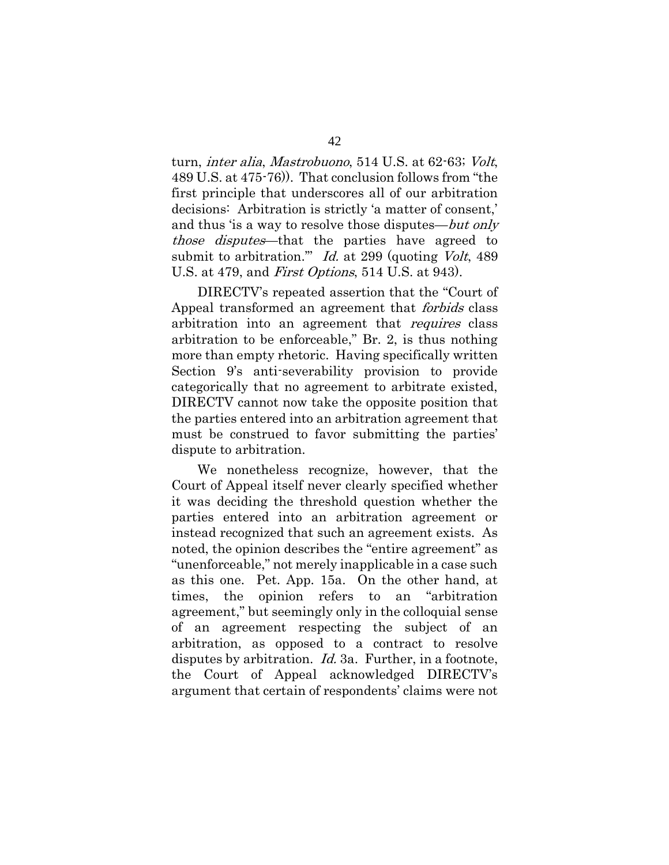turn, inter alia, Mastrobuono, 514 U.S. at 62-63; Volt, 489 U.S. at 475-76)). That conclusion follows from "the first principle that underscores all of our arbitration decisions: Arbitration is strictly 'a matter of consent,' and thus 'is a way to resolve those disputes—*but only* those disputes—that the parties have agreed to submit to arbitration." *Id.* at 299 (quoting *Volt*, 489) U.S. at 479, and *First Options*, 514 U.S. at 943).

DIRECTV's repeated assertion that the "Court of Appeal transformed an agreement that forbids class arbitration into an agreement that requires class arbitration to be enforceable," Br. 2, is thus nothing more than empty rhetoric. Having specifically written Section 9's anti-severability provision to provide categorically that no agreement to arbitrate existed, DIRECTV cannot now take the opposite position that the parties entered into an arbitration agreement that must be construed to favor submitting the parties' dispute to arbitration.

We nonetheless recognize, however, that the Court of Appeal itself never clearly specified whether it was deciding the threshold question whether the parties entered into an arbitration agreement or instead recognized that such an agreement exists. As noted, the opinion describes the "entire agreement" as "unenforceable," not merely inapplicable in a case such as this one. Pet. App. 15a. On the other hand, at times, the opinion refers to an "arbitration agreement," but seemingly only in the colloquial sense of an agreement respecting the subject of an arbitration, as opposed to a contract to resolve disputes by arbitration. *Id.* 3a. Further, in a footnote, the Court of Appeal acknowledged DIRECTV's argument that certain of respondents' claims were not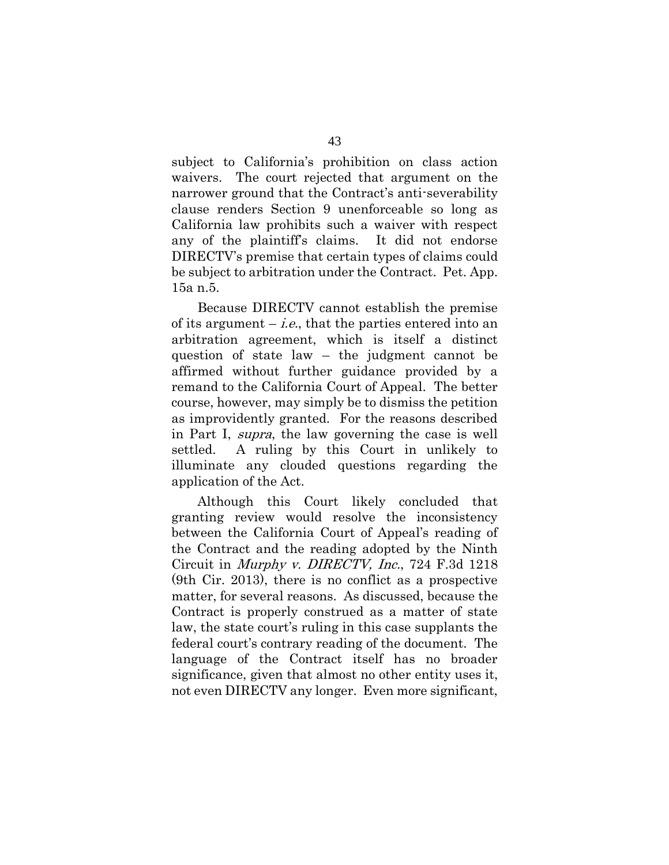subject to California's prohibition on class action waivers. The court rejected that argument on the narrower ground that the Contract's anti-severability clause renders Section 9 unenforceable so long as California law prohibits such a waiver with respect any of the plaintiff's claims. It did not endorse DIRECTV's premise that certain types of claims could be subject to arbitration under the Contract. Pet. App. 15a n.5.

Because DIRECTV cannot establish the premise of its argument  $-i.e.,$  that the parties entered into an arbitration agreement, which is itself a distinct question of state law – the judgment cannot be affirmed without further guidance provided by a remand to the California Court of Appeal. The better course, however, may simply be to dismiss the petition as improvidently granted. For the reasons described in Part I, supra, the law governing the case is well settled. A ruling by this Court in unlikely to illuminate any clouded questions regarding the application of the Act.

Although this Court likely concluded that granting review would resolve the inconsistency between the California Court of Appeal's reading of the Contract and the reading adopted by the Ninth Circuit in Murphy v. DIRECTV, Inc., 724 F.3d 1218 (9th Cir. 2013), there is no conflict as a prospective matter, for several reasons. As discussed, because the Contract is properly construed as a matter of state law, the state court's ruling in this case supplants the federal court's contrary reading of the document. The language of the Contract itself has no broader significance, given that almost no other entity uses it, not even DIRECTV any longer. Even more significant,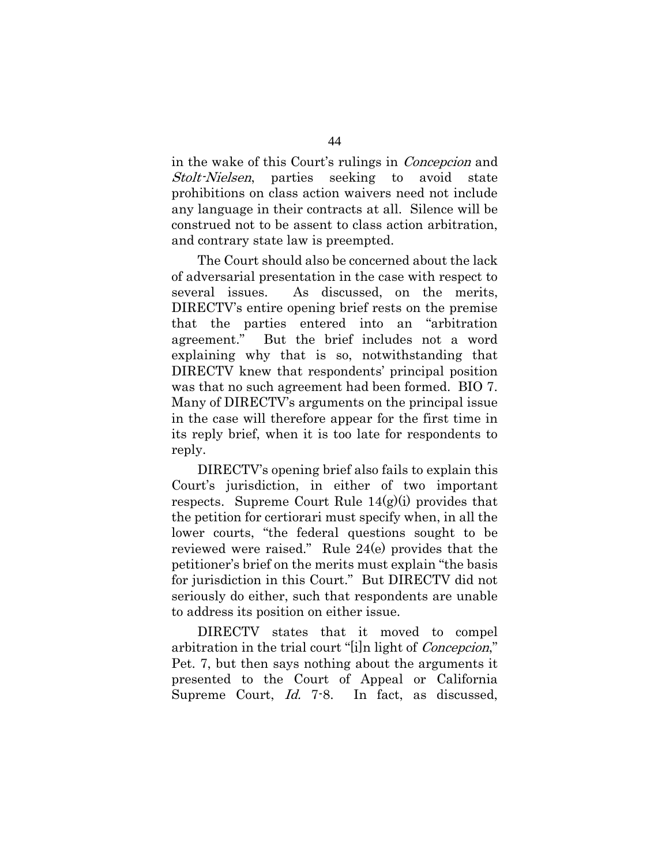in the wake of this Court's rulings in Concepcion and Stolt-Nielsen, parties seeking to avoid state prohibitions on class action waivers need not include any language in their contracts at all. Silence will be construed not to be assent to class action arbitration, and contrary state law is preempted.

The Court should also be concerned about the lack of adversarial presentation in the case with respect to several issues. As discussed, on the merits, DIRECTV's entire opening brief rests on the premise that the parties entered into an "arbitration agreement." But the brief includes not a word explaining why that is so, notwithstanding that DIRECTV knew that respondents' principal position was that no such agreement had been formed. BIO 7. Many of DIRECTV's arguments on the principal issue in the case will therefore appear for the first time in its reply brief, when it is too late for respondents to reply.

DIRECTV's opening brief also fails to explain this Court's jurisdiction, in either of two important respects. Supreme Court Rule  $14(g)(i)$  provides that the petition for certiorari must specify when, in all the lower courts, "the federal questions sought to be reviewed were raised." Rule 24(e) provides that the petitioner's brief on the merits must explain "the basis for jurisdiction in this Court." But DIRECTV did not seriously do either, such that respondents are unable to address its position on either issue.

DIRECTV states that it moved to compel arbitration in the trial court "[i]n light of *Concepcion*," Pet. 7, but then says nothing about the arguments it presented to the Court of Appeal or California Supreme Court, Id. 7-8. In fact, as discussed,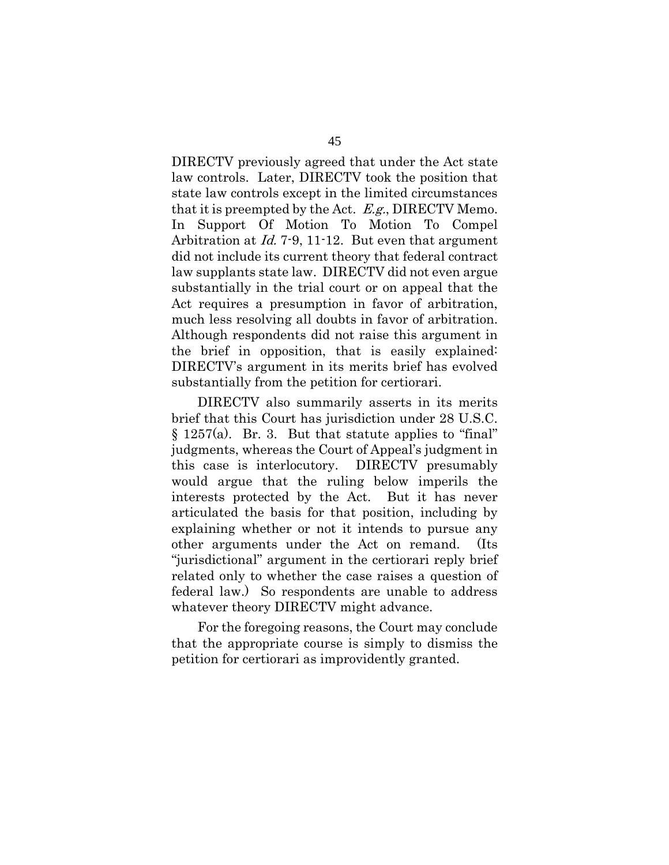DIRECTV previously agreed that under the Act state law controls. Later, DIRECTV took the position that state law controls except in the limited circumstances that it is preempted by the Act.  $E.g., DIRECTV$  Memo. In Support Of Motion To Motion To Compel Arbitration at Id. 7-9, 11-12. But even that argument did not include its current theory that federal contract law supplants state law. DIRECTV did not even argue substantially in the trial court or on appeal that the Act requires a presumption in favor of arbitration, much less resolving all doubts in favor of arbitration. Although respondents did not raise this argument in the brief in opposition, that is easily explained: DIRECTV's argument in its merits brief has evolved substantially from the petition for certiorari.

DIRECTV also summarily asserts in its merits brief that this Court has jurisdiction under 28 U.S.C. § 1257(a). Br. 3. But that statute applies to "final" judgments, whereas the Court of Appeal's judgment in this case is interlocutory. DIRECTV presumably would argue that the ruling below imperils the interests protected by the Act. But it has never articulated the basis for that position, including by explaining whether or not it intends to pursue any other arguments under the Act on remand. (Its "jurisdictional" argument in the certiorari reply brief related only to whether the case raises a question of federal law.) So respondents are unable to address whatever theory DIRECTV might advance.

For the foregoing reasons, the Court may conclude that the appropriate course is simply to dismiss the petition for certiorari as improvidently granted.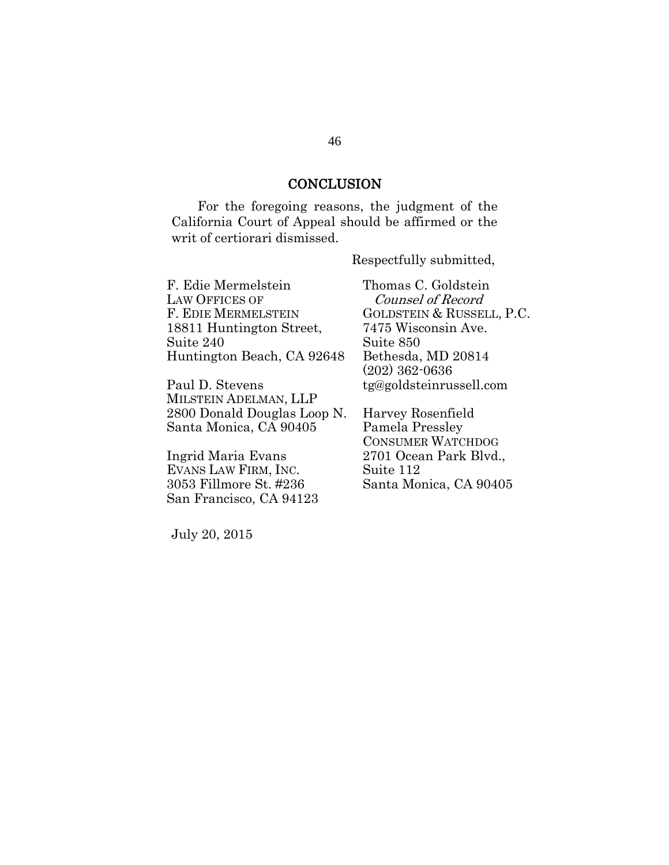#### **CONCLUSION**

For the foregoing reasons, the judgment of the California Court of Appeal should be affirmed or the writ of certiorari dismissed.

F. Edie Mermelstein LAW OFFICES OF F. EDIE MERMELSTEIN 18811 Huntington Street, Suite 240 Huntington Beach, CA 92648

Paul D. Stevens MILSTEIN ADELMAN, LLP 2800 Donald Douglas Loop N. Santa Monica, CA 90405

Ingrid Maria Evans EVANS LAW FIRM, INC. 3053 Fillmore St. #236 San Francisco, CA 94123

July 20, 2015

Thomas C. Goldstein Counsel of Record GOLDSTEIN & RUSSELL, P.C. 7475 Wisconsin Ave. Suite 850 Bethesda, MD 20814 (202) 362-0636 tg@goldsteinrussell.com

Respectfully submitted,

Harvey Rosenfield Pamela Pressley CONSUMER WATCHDOG 2701 Ocean Park Blvd., Suite 112 Santa Monica, CA 90405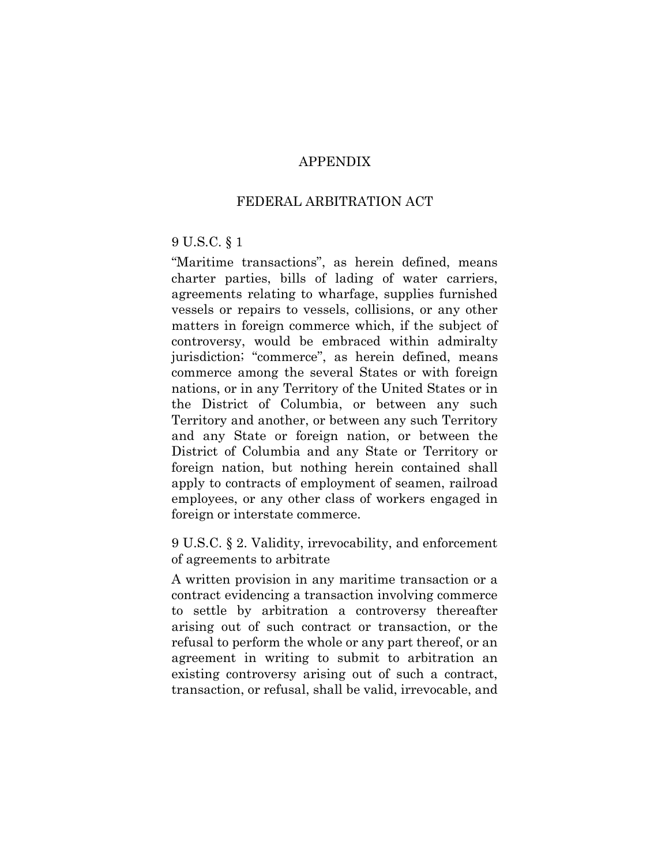#### APPENDIX

#### FEDERAL ARBITRATION ACT

### 9 U.S.C. § 1

"Maritime transactions", as herein defined, means charter parties, bills of lading of water carriers, agreements relating to wharfage, supplies furnished vessels or repairs to vessels, collisions, or any other matters in foreign commerce which, if the subject of controversy, would be embraced within admiralty jurisdiction; "commerce", as herein defined, means commerce among the several States or with foreign nations, or in any Territory of the United States or in the District of Columbia, or between any such Territory and another, or between any such Territory and any State or foreign nation, or between the District of Columbia and any State or Territory or foreign nation, but nothing herein contained shall apply to contracts of employment of seamen, railroad employees, or any other class of workers engaged in foreign or interstate commerce.

9 U.S.C. § 2. Validity, irrevocability, and enforcement of agreements to arbitrate

A written provision in any maritime transaction or a contract evidencing a transaction involving commerce to settle by arbitration a controversy thereafter arising out of such contract or transaction, or the refusal to perform the whole or any part thereof, or an agreement in writing to submit to arbitration an existing controversy arising out of such a contract, transaction, or refusal, shall be valid, irrevocable, and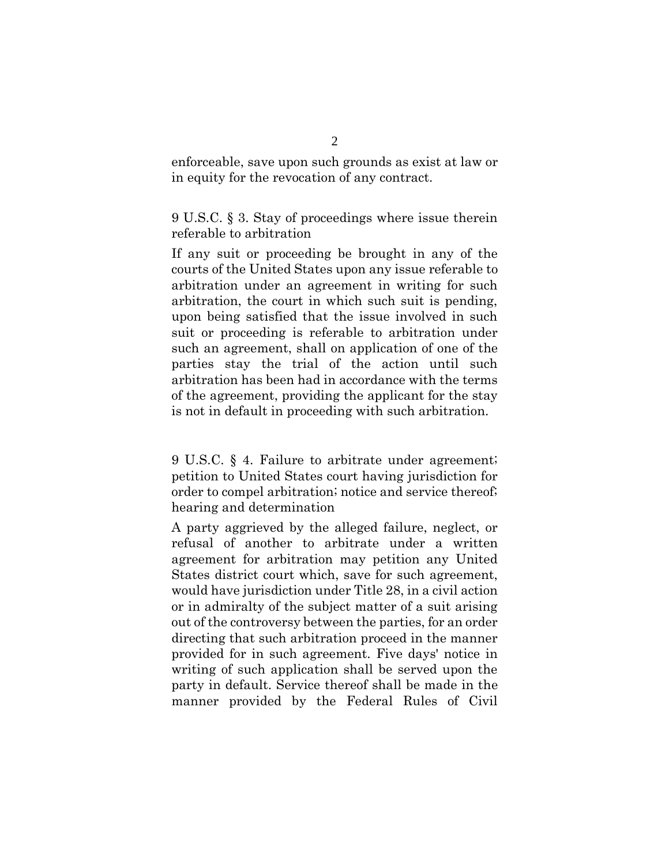enforceable, save upon such grounds as exist at law or in equity for the revocation of any contract.

9 U.S.C. § 3. Stay of proceedings where issue therein referable to arbitration

If any suit or proceeding be brought in any of the courts of the United States upon any issue referable to arbitration under an agreement in writing for such arbitration, the court in which such suit is pending, upon being satisfied that the issue involved in such suit or proceeding is referable to arbitration under such an agreement, shall on application of one of the parties stay the trial of the action until such arbitration has been had in accordance with the terms of the agreement, providing the applicant for the stay is not in default in proceeding with such arbitration.

9 U.S.C. § 4. Failure to arbitrate under agreement; petition to United States court having jurisdiction for order to compel arbitration; notice and service thereof; hearing and determination

A party aggrieved by the alleged failure, neglect, or refusal of another to arbitrate under a written agreement for arbitration may petition any United States district court which, save for such agreement, would have jurisdiction under Title 28, in a civil action or in admiralty of the subject matter of a suit arising out of the controversy between the parties, for an order directing that such arbitration proceed in the manner provided for in such agreement. Five days' notice in writing of such application shall be served upon the party in default. Service thereof shall be made in the manner provided by the Federal Rules of Civil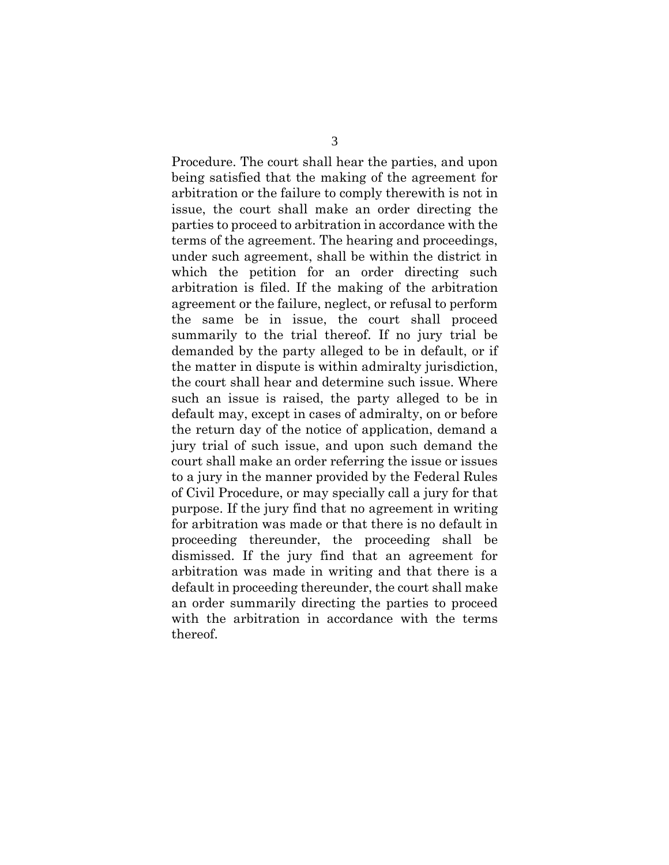Procedure. The court shall hear the parties, and upon being satisfied that the making of the agreement for arbitration or the failure to comply therewith is not in issue, the court shall make an order directing the parties to proceed to arbitration in accordance with the terms of the agreement. The hearing and proceedings, under such agreement, shall be within the district in which the petition for an order directing such arbitration is filed. If the making of the arbitration agreement or the failure, neglect, or refusal to perform the same be in issue, the court shall proceed summarily to the trial thereof. If no jury trial be demanded by the party alleged to be in default, or if the matter in dispute is within admiralty jurisdiction, the court shall hear and determine such issue. Where such an issue is raised, the party alleged to be in default may, except in cases of admiralty, on or before the return day of the notice of application, demand a jury trial of such issue, and upon such demand the court shall make an order referring the issue or issues to a jury in the manner provided by the Federal Rules of Civil Procedure, or may specially call a jury for that purpose. If the jury find that no agreement in writing for arbitration was made or that there is no default in proceeding thereunder, the proceeding shall be dismissed. If the jury find that an agreement for arbitration was made in writing and that there is a default in proceeding thereunder, the court shall make an order summarily directing the parties to proceed with the arbitration in accordance with the terms thereof.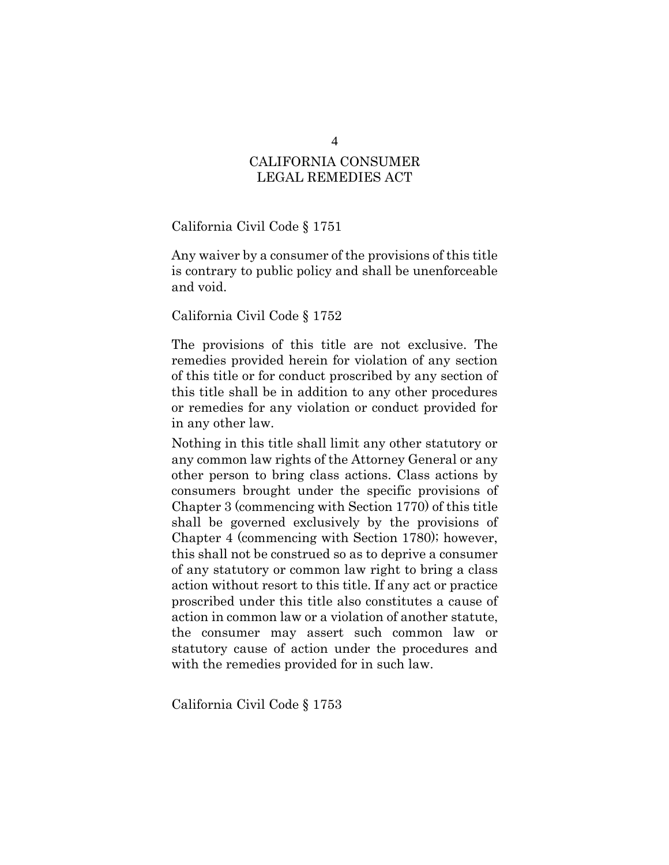## CALIFORNIA CONSUMER LEGAL REMEDIES ACT

#### California Civil Code § 1751

Any waiver by a consumer of the provisions of this title is contrary to public policy and shall be unenforceable and void.

#### California Civil Code § 1752

The provisions of this title are not exclusive. The remedies provided herein for violation of any section of this title or for conduct proscribed by any section of this title shall be in addition to any other procedures or remedies for any violation or conduct provided for in any other law.

Nothing in this title shall limit any other statutory or any common law rights of the Attorney General or any other person to bring class actions. Class actions by consumers brought under the specific provisions of Chapter 3 (commencing with Section 1770) of this title shall be governed exclusively by the provisions of Chapter 4 (commencing with Section 1780); however, this shall not be construed so as to deprive a consumer of any statutory or common law right to bring a class action without resort to this title. If any act or practice proscribed under this title also constitutes a cause of action in common law or a violation of another statute, the consumer may assert such common law or statutory cause of action under the procedures and with the remedies provided for in such law.

California Civil Code § 1753

4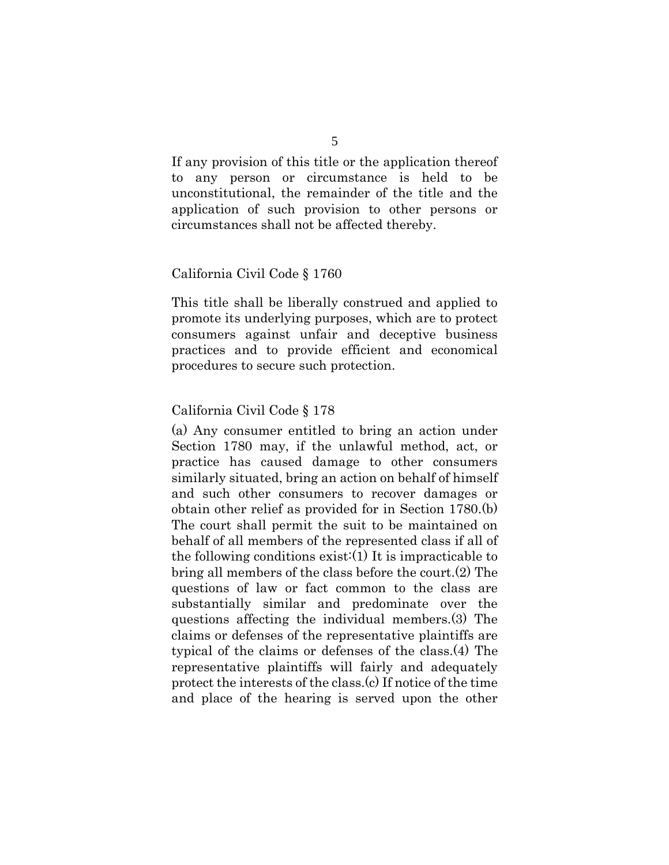If any provision of this title or the application thereof to any person or circumstance is held to be unconstitutional, the remainder of the title and the application of such provision to other persons or circumstances shall not be affected thereby.

#### California Civil Code § 1760

This title shall be liberally construed and applied to promote its underlying purposes, which are to protect consumers against unfair and deceptive business practices and to provide efficient and economical procedures to secure such protection.

#### California Civil Code § 178

(a) Any consumer entitled to bring an action under Section 1780 may, if the unlawful method, act, or practice has caused damage to other consumers similarly situated, bring an action on behalf of himself and such other consumers to recover damages or obtain other relief as provided for in Section 1780.(b) The court shall permit the suit to be maintained on behalf of all members of the represented class if all of the following conditions exist:(1) It is impracticable to bring all members of the class before the court.(2) The questions of law or fact common to the class are substantially similar and predominate over the questions affecting the individual members.(3) The claims or defenses of the representative plaintiffs are typical of the claims or defenses of the class.(4) The representative plaintiffs will fairly and adequately protect the interests of the class.(c) If notice of the time and place of the hearing is served upon the other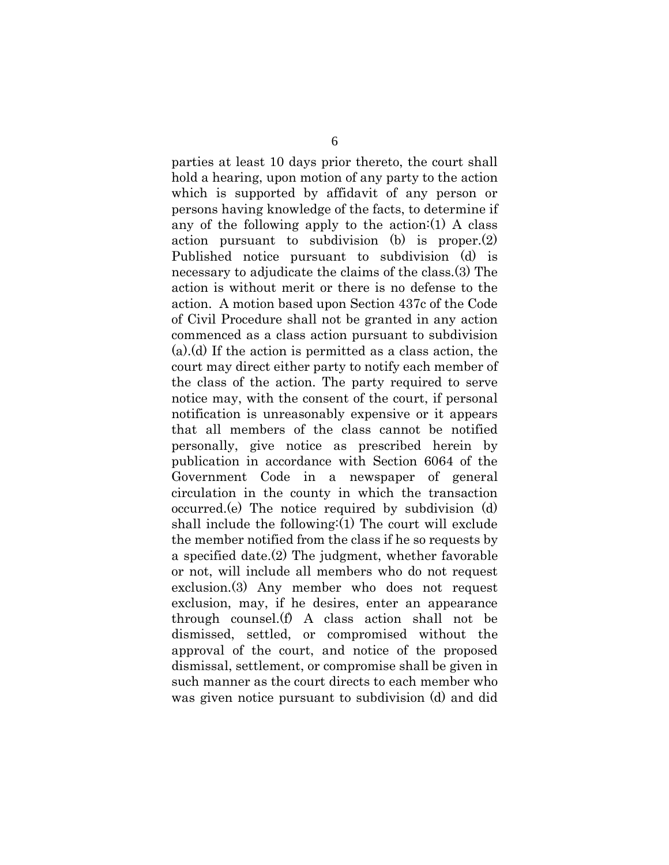parties at least 10 days prior thereto, the court shall hold a hearing, upon motion of any party to the action which is supported by affidavit of any person or persons having knowledge of the facts, to determine if any of the following apply to the action: $(1)$  A class action pursuant to subdivision (b) is proper.(2) Published notice pursuant to subdivision (d) is necessary to adjudicate the claims of the class.(3) The action is without merit or there is no defense to the action. A motion based upon Section 437c of the Code of Civil Procedure shall not be granted in any action commenced as a class action pursuant to subdivision (a).(d) If the action is permitted as a class action, the court may direct either party to notify each member of the class of the action. The party required to serve notice may, with the consent of the court, if personal notification is unreasonably expensive or it appears that all members of the class cannot be notified personally, give notice as prescribed herein by publication in accordance with Section 6064 of the Government Code in a newspaper of general circulation in the county in which the transaction occurred.(e) The notice required by subdivision (d) shall include the following:(1) The court will exclude the member notified from the class if he so requests by a specified date.(2) The judgment, whether favorable or not, will include all members who do not request exclusion.(3) Any member who does not request exclusion, may, if he desires, enter an appearance through counsel.(f) A class action shall not be dismissed, settled, or compromised without the approval of the court, and notice of the proposed dismissal, settlement, or compromise shall be given in such manner as the court directs to each member who was given notice pursuant to subdivision (d) and did